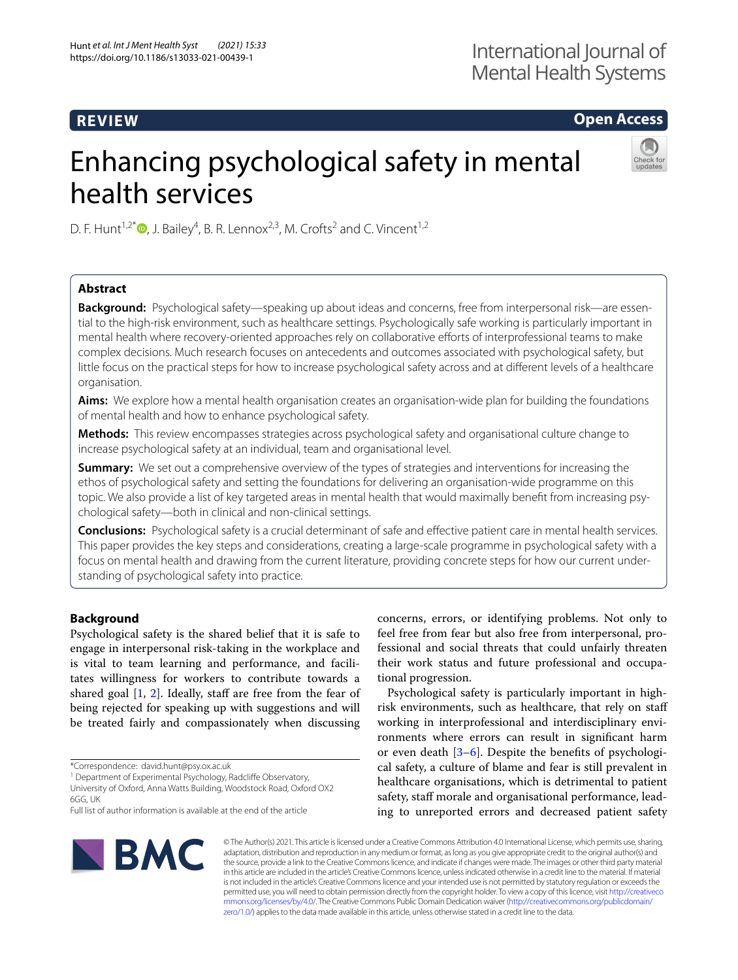# **REVIEW**

# **Open Access**

# Enhancing psychological safety in mental health services



D. F. Hunt<sup>1,2[\\*](http://orcid.org/0000-0002-8802-7368)</sup> $\bullet$ , J. Bailey<sup>4</sup>, B. R. Lennox<sup>2,3</sup>, M. Crofts<sup>2</sup> and C. Vincent<sup>1,2</sup>

# **Abstract**

**Background:** Psychological safety—speaking up about ideas and concerns, free from interpersonal risk—are essential to the high-risk environment, such as healthcare settings. Psychologically safe working is particularly important in mental health where recovery-oriented approaches rely on collaborative eforts of interprofessional teams to make complex decisions. Much research focuses on antecedents and outcomes associated with psychological safety, but little focus on the practical steps for how to increase psychological safety across and at diferent levels of a healthcare organisation.

**Aims:** We explore how a mental health organisation creates an organisation-wide plan for building the foundations of mental health and how to enhance psychological safety.

**Methods:** This review encompasses strategies across psychological safety and organisational culture change to increase psychological safety at an individual, team and organisational level.

**Summary:** We set out a comprehensive overview of the types of strategies and interventions for increasing the ethos of psychological safety and setting the foundations for delivering an organisation-wide programme on this topic. We also provide a list of key targeted areas in mental health that would maximally beneft from increasing psychological safety—both in clinical and non-clinical settings.

**Conclusions:** Psychological safety is a crucial determinant of safe and efective patient care in mental health services. This paper provides the key steps and considerations, creating a large-scale programme in psychological safety with a focus on mental health and drawing from the current literature, providing concrete steps for how our current understanding of psychological safety into practice.

# **Background**

Psychological safety is the shared belief that it is safe to engage in interpersonal risk-taking in the workplace and is vital to team learning and performance, and facilitates willingness for workers to contribute towards a shared goal  $[1, 2]$  $[1, 2]$  $[1, 2]$  $[1, 2]$  $[1, 2]$ . Ideally, staff are free from the fear of being rejected for speaking up with suggestions and will be treated fairly and compassionately when discussing

\*Correspondence: david.hunt@psy.ox.ac.uk

<sup>1</sup> Department of Experimental Psychology, Radcliffe Observatory,

University of Oxford, Anna Watts Building, Woodstock Road, Oxford OX2 6GG, UK

concerns, errors, or identifying problems. Not only to feel free from fear but also free from interpersonal, professional and social threats that could unfairly threaten their work status and future professional and occupational progression.

Psychological safety is particularly important in highrisk environments, such as healthcare, that rely on staf working in interprofessional and interdisciplinary environments where errors can result in signifcant harm or even death [[3–](#page-15-2)[6](#page-15-3)]. Despite the benefts of psychological safety, a culture of blame and fear is still prevalent in healthcare organisations, which is detrimental to patient safety, staff morale and organisational performance, leading to unreported errors and decreased patient safety



© The Author(s) 2021. This article is licensed under a Creative Commons Attribution 4.0 International License, which permits use, sharing, adaptation, distribution and reproduction in any medium or format, as long as you give appropriate credit to the original author(s) and the source, provide a link to the Creative Commons licence, and indicate if changes were made. The images or other third party material in this article are included in the article's Creative Commons licence, unless indicated otherwise in a credit line to the material. If material is not included in the article's Creative Commons licence and your intended use is not permitted by statutory regulation or exceeds the permitted use, you will need to obtain permission directly from the copyright holder. To view a copy of this licence, visit [http://creativeco](http://creativecommons.org/licenses/by/4.0/) [mmons.org/licenses/by/4.0/.](http://creativecommons.org/licenses/by/4.0/) The Creative Commons Public Domain Dedication waiver ([http://creativecommons.org/publicdomain/](http://creativecommons.org/publicdomain/zero/1.0/) [zero/1.0/\)](http://creativecommons.org/publicdomain/zero/1.0/) applies to the data made available in this article, unless otherwise stated in a credit line to the data.

Full list of author information is available at the end of the article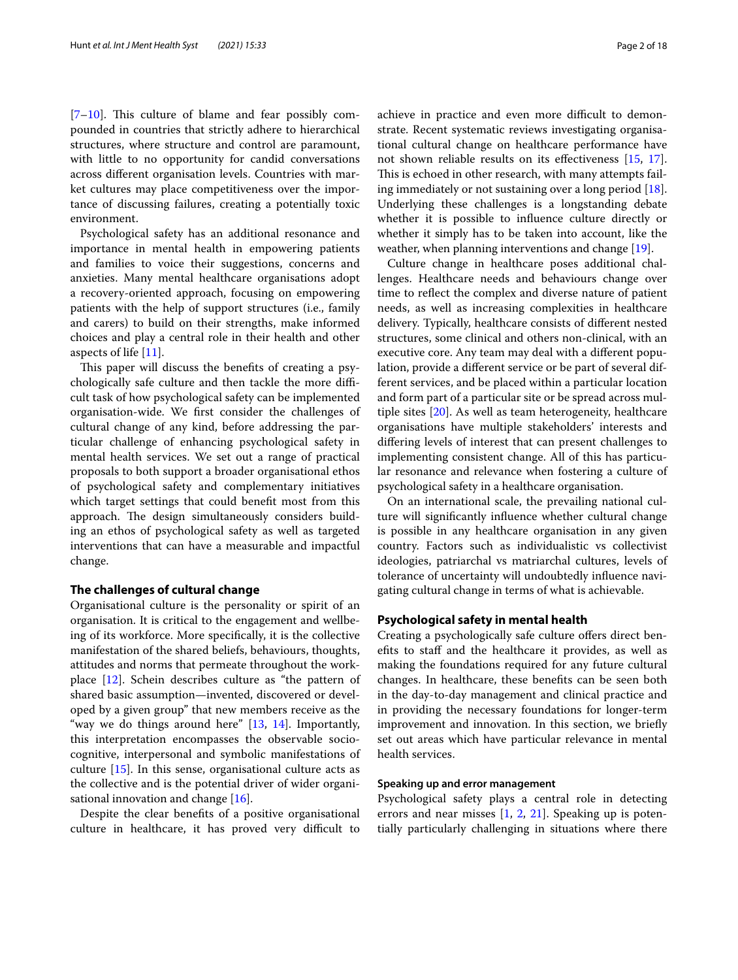$[7-10]$  $[7-10]$ . This culture of blame and fear possibly compounded in countries that strictly adhere to hierarchical structures, where structure and control are paramount, with little to no opportunity for candid conversations across diferent organisation levels. Countries with market cultures may place competitiveness over the importance of discussing failures, creating a potentially toxic environment.

Psychological safety has an additional resonance and importance in mental health in empowering patients and families to voice their suggestions, concerns and anxieties. Many mental healthcare organisations adopt a recovery-oriented approach, focusing on empowering patients with the help of support structures (i.e., family and carers) to build on their strengths, make informed choices and play a central role in their health and other aspects of life [\[11](#page-15-6)].

This paper will discuss the benefits of creating a psychologically safe culture and then tackle the more difficult task of how psychological safety can be implemented organisation-wide. We frst consider the challenges of cultural change of any kind, before addressing the particular challenge of enhancing psychological safety in mental health services. We set out a range of practical proposals to both support a broader organisational ethos of psychological safety and complementary initiatives which target settings that could beneft most from this approach. The design simultaneously considers building an ethos of psychological safety as well as targeted interventions that can have a measurable and impactful change.

### **The challenges of cultural change**

Organisational culture is the personality or spirit of an organisation. It is critical to the engagement and wellbeing of its workforce. More specifcally, it is the collective manifestation of the shared beliefs, behaviours, thoughts, attitudes and norms that permeate throughout the workplace [[12](#page-15-7)]. Schein describes culture as "the pattern of shared basic assumption—invented, discovered or developed by a given group" that new members receive as the "way we do things around here" [[13](#page-15-8), [14\]](#page-15-9). Importantly, this interpretation encompasses the observable sociocognitive, interpersonal and symbolic manifestations of culture [\[15](#page-15-10)]. In this sense, organisational culture acts as the collective and is the potential driver of wider organisational innovation and change  $[16]$ .

Despite the clear benefts of a positive organisational culture in healthcare, it has proved very difficult to achieve in practice and even more difficult to demonstrate. Recent systematic reviews investigating organisational cultural change on healthcare performance have not shown reliable results on its efectiveness [\[15,](#page-15-10) [17](#page-15-12)]. This is echoed in other research, with many attempts failing immediately or not sustaining over a long period [\[18](#page-15-13)]. Underlying these challenges is a longstanding debate whether it is possible to infuence culture directly or whether it simply has to be taken into account, like the weather, when planning interventions and change [[19](#page-15-14)].

Culture change in healthcare poses additional challenges. Healthcare needs and behaviours change over time to refect the complex and diverse nature of patient needs, as well as increasing complexities in healthcare delivery. Typically, healthcare consists of diferent nested structures, some clinical and others non-clinical, with an executive core. Any team may deal with a diferent population, provide a diferent service or be part of several different services, and be placed within a particular location and form part of a particular site or be spread across multiple sites [[20\]](#page-15-15). As well as team heterogeneity, healthcare organisations have multiple stakeholders' interests and difering levels of interest that can present challenges to implementing consistent change. All of this has particular resonance and relevance when fostering a culture of psychological safety in a healthcare organisation.

On an international scale, the prevailing national culture will signifcantly infuence whether cultural change is possible in any healthcare organisation in any given country. Factors such as individualistic vs collectivist ideologies, patriarchal vs matriarchal cultures, levels of tolerance of uncertainty will undoubtedly infuence navigating cultural change in terms of what is achievable.

# **Psychological safety in mental health**

Creating a psychologically safe culture offers direct benefits to staff and the healthcare it provides, as well as making the foundations required for any future cultural changes. In healthcare, these benefts can be seen both in the day-to-day management and clinical practice and in providing the necessary foundations for longer-term improvement and innovation. In this section, we briefy set out areas which have particular relevance in mental health services.

# **Speaking up and error management**

Psychological safety plays a central role in detecting errors and near misses [[1,](#page-15-0) [2](#page-15-1), [21\]](#page-15-16). Speaking up is potentially particularly challenging in situations where there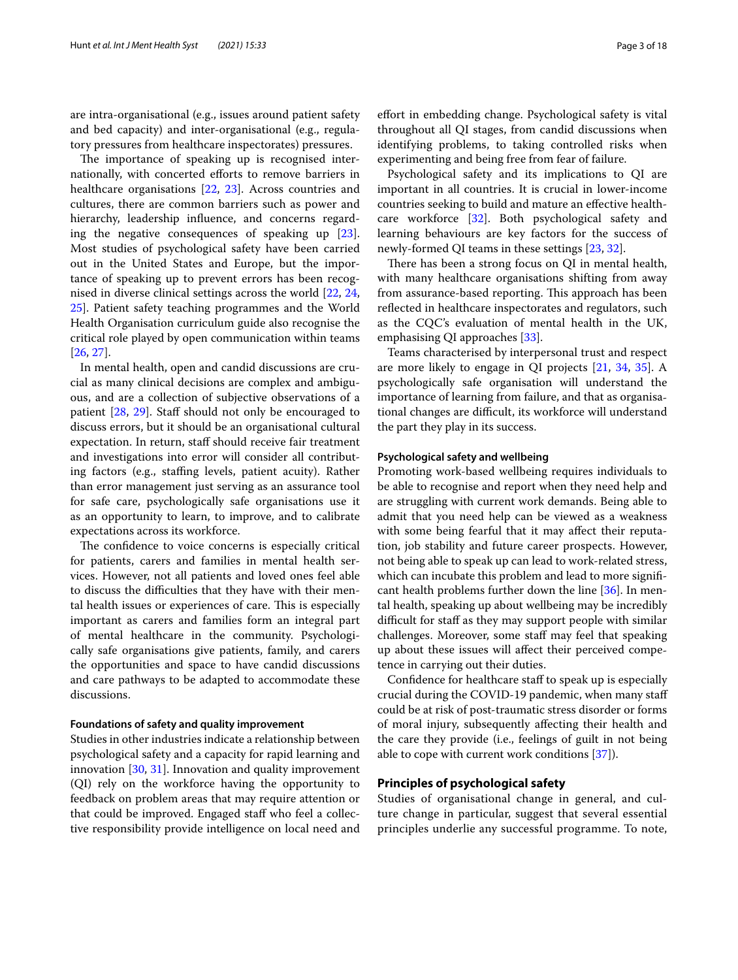are intra-organisational (e.g., issues around patient safety and bed capacity) and inter-organisational (e.g., regulatory pressures from healthcare inspectorates) pressures.

The importance of speaking up is recognised internationally, with concerted eforts to remove barriers in healthcare organisations [\[22](#page-15-17), [23](#page-15-18)]. Across countries and cultures, there are common barriers such as power and hierarchy, leadership infuence, and concerns regarding the negative consequences of speaking up [\[23](#page-15-18)]. Most studies of psychological safety have been carried out in the United States and Europe, but the importance of speaking up to prevent errors has been recognised in diverse clinical settings across the world [[22](#page-15-17), [24](#page-15-19), [25\]](#page-15-20). Patient safety teaching programmes and the World Health Organisation curriculum guide also recognise the critical role played by open communication within teams [[26,](#page-15-21) [27](#page-15-22)].

In mental health, open and candid discussions are crucial as many clinical decisions are complex and ambiguous, and are a collection of subjective observations of a patient [\[28,](#page-15-23) [29](#page-16-0)]. Staff should not only be encouraged to discuss errors, but it should be an organisational cultural expectation. In return, staf should receive fair treatment and investigations into error will consider all contributing factors (e.g., staffing levels, patient acuity). Rather than error management just serving as an assurance tool for safe care, psychologically safe organisations use it as an opportunity to learn, to improve, and to calibrate expectations across its workforce.

The confidence to voice concerns is especially critical for patients, carers and families in mental health services. However, not all patients and loved ones feel able to discuss the difficulties that they have with their mental health issues or experiences of care. This is especially important as carers and families form an integral part of mental healthcare in the community. Psychologically safe organisations give patients, family, and carers the opportunities and space to have candid discussions and care pathways to be adapted to accommodate these discussions.

#### **Foundations of safety and quality improvement**

Studies in other industries indicate a relationship between psychological safety and a capacity for rapid learning and innovation [[30,](#page-16-1) [31](#page-16-2)]. Innovation and quality improvement (QI) rely on the workforce having the opportunity to feedback on problem areas that may require attention or that could be improved. Engaged staff who feel a collective responsibility provide intelligence on local need and efort in embedding change. Psychological safety is vital throughout all QI stages, from candid discussions when identifying problems, to taking controlled risks when experimenting and being free from fear of failure.

Psychological safety and its implications to QI are important in all countries. It is crucial in lower-income countries seeking to build and mature an efective healthcare workforce [[32\]](#page-16-3). Both psychological safety and learning behaviours are key factors for the success of newly-formed QI teams in these settings [[23,](#page-15-18) [32\]](#page-16-3).

There has been a strong focus on QI in mental health, with many healthcare organisations shifting from away from assurance-based reporting. This approach has been reflected in healthcare inspectorates and regulators, such as the CQC's evaluation of mental health in the UK, emphasising QI approaches [\[33\]](#page-16-4).

Teams characterised by interpersonal trust and respect are more likely to engage in QI projects [\[21](#page-15-16), [34,](#page-16-5) [35\]](#page-16-6). A psychologically safe organisation will understand the importance of learning from failure, and that as organisational changes are difficult, its workforce will understand the part they play in its success.

# **Psychological safety and wellbeing**

Promoting work-based wellbeing requires individuals to be able to recognise and report when they need help and are struggling with current work demands. Being able to admit that you need help can be viewed as a weakness with some being fearful that it may afect their reputation, job stability and future career prospects. However, not being able to speak up can lead to work-related stress, which can incubate this problem and lead to more significant health problems further down the line [[36](#page-16-7)]. In mental health, speaking up about wellbeing may be incredibly difficult for staff as they may support people with similar challenges. Moreover, some staff may feel that speaking up about these issues will afect their perceived competence in carrying out their duties.

Confdence for healthcare staf to speak up is especially crucial during the COVID-19 pandemic, when many staf could be at risk of post-traumatic stress disorder or forms of moral injury, subsequently afecting their health and the care they provide (i.e., feelings of guilt in not being able to cope with current work conditions [[37\]](#page-16-8)).

# **Principles of psychological safety**

Studies of organisational change in general, and culture change in particular, suggest that several essential principles underlie any successful programme. To note,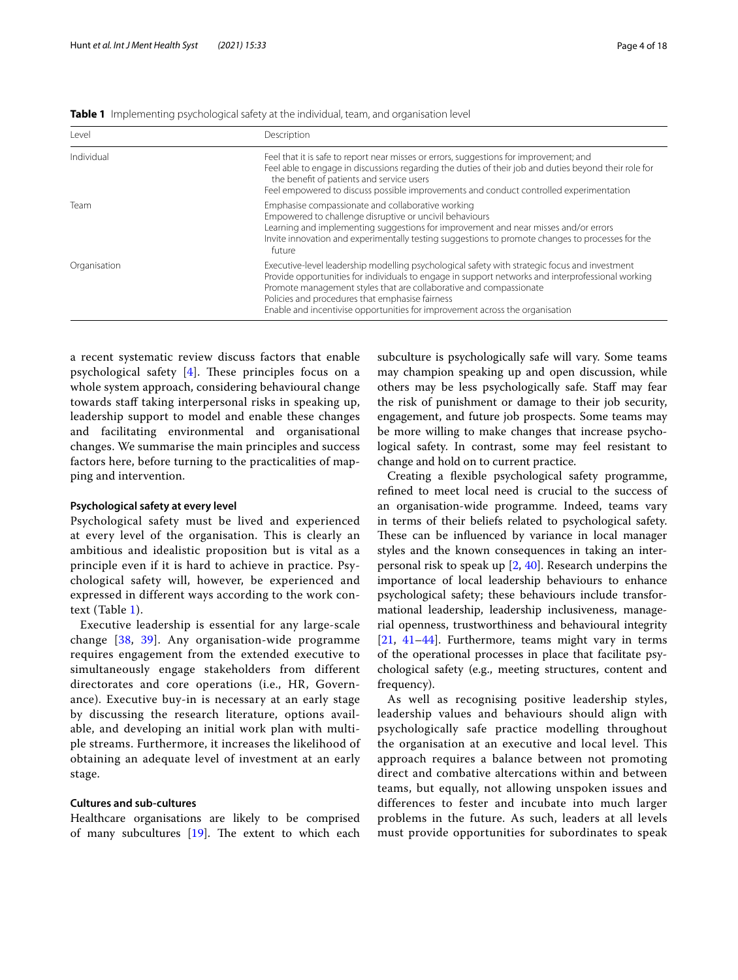<span id="page-3-0"></span>

|  |  |  |  | Table 1 Implementing psychological safety at the individual, team, and organisation level |
|--|--|--|--|-------------------------------------------------------------------------------------------|
|--|--|--|--|-------------------------------------------------------------------------------------------|

| Level        | Description                                                                                                                                                                                                                                                                                                                                                                                                 |
|--------------|-------------------------------------------------------------------------------------------------------------------------------------------------------------------------------------------------------------------------------------------------------------------------------------------------------------------------------------------------------------------------------------------------------------|
| Individual   | Feel that it is safe to report near misses or errors, suggestions for improvement; and<br>Feel able to engage in discussions regarding the duties of their job and duties beyond their role for<br>the benefit of patients and service users<br>Feel empowered to discuss possible improvements and conduct controlled experimentation                                                                      |
| Team         | Emphasise compassionate and collaborative working<br>Empowered to challenge disruptive or uncivil behaviours<br>Learning and implementing suggestions for improvement and near misses and/or errors<br>Invite innovation and experimentally testing suggestions to promote changes to processes for the<br>future                                                                                           |
| Organisation | Executive-level leadership modelling psychological safety with strategic focus and investment<br>Provide opportunities for individuals to engage in support networks and interprofessional working<br>Promote management styles that are collaborative and compassionate<br>Policies and procedures that emphasise fairness<br>Enable and incentivise opportunities for improvement across the organisation |

a recent systematic review discuss factors that enable psychological safety  $[4]$  $[4]$ . These principles focus on a whole system approach, considering behavioural change towards staff taking interpersonal risks in speaking up, leadership support to model and enable these changes and facilitating environmental and organisational changes. We summarise the main principles and success factors here, before turning to the practicalities of mapping and intervention.

# **Psychological safety at every level**

Psychological safety must be lived and experienced at every level of the organisation. This is clearly an ambitious and idealistic proposition but is vital as a principle even if it is hard to achieve in practice. Psychological safety will, however, be experienced and expressed in different ways according to the work context (Table [1\)](#page-3-0).

Executive leadership is essential for any large-scale change [[38,](#page-16-9) [39\]](#page-16-10). Any organisation-wide programme requires engagement from the extended executive to simultaneously engage stakeholders from different directorates and core operations (i.e., HR, Governance). Executive buy-in is necessary at an early stage by discussing the research literature, options available, and developing an initial work plan with multiple streams. Furthermore, it increases the likelihood of obtaining an adequate level of investment at an early stage.

# **Cultures and sub‑cultures**

Healthcare organisations are likely to be comprised of many subcultures  $[19]$  $[19]$  $[19]$ . The extent to which each subculture is psychologically safe will vary. Some teams may champion speaking up and open discussion, while others may be less psychologically safe. Staf may fear the risk of punishment or damage to their job security, engagement, and future job prospects. Some teams may be more willing to make changes that increase psychological safety. In contrast, some may feel resistant to change and hold on to current practice.

Creating a flexible psychological safety programme, refned to meet local need is crucial to the success of an organisation-wide programme. Indeed, teams vary in terms of their beliefs related to psychological safety. These can be influenced by variance in local manager styles and the known consequences in taking an interpersonal risk to speak up [[2,](#page-15-1) [40](#page-16-11)]. Research underpins the importance of local leadership behaviours to enhance psychological safety; these behaviours include transformational leadership, leadership inclusiveness, managerial openness, trustworthiness and behavioural integrity [[21,](#page-15-16) [41–](#page-16-12)[44\]](#page-16-13). Furthermore, teams might vary in terms of the operational processes in place that facilitate psychological safety (e.g., meeting structures, content and frequency).

As well as recognising positive leadership styles, leadership values and behaviours should align with psychologically safe practice modelling throughout the organisation at an executive and local level. This approach requires a balance between not promoting direct and combative altercations within and between teams, but equally, not allowing unspoken issues and differences to fester and incubate into much larger problems in the future. As such, leaders at all levels must provide opportunities for subordinates to speak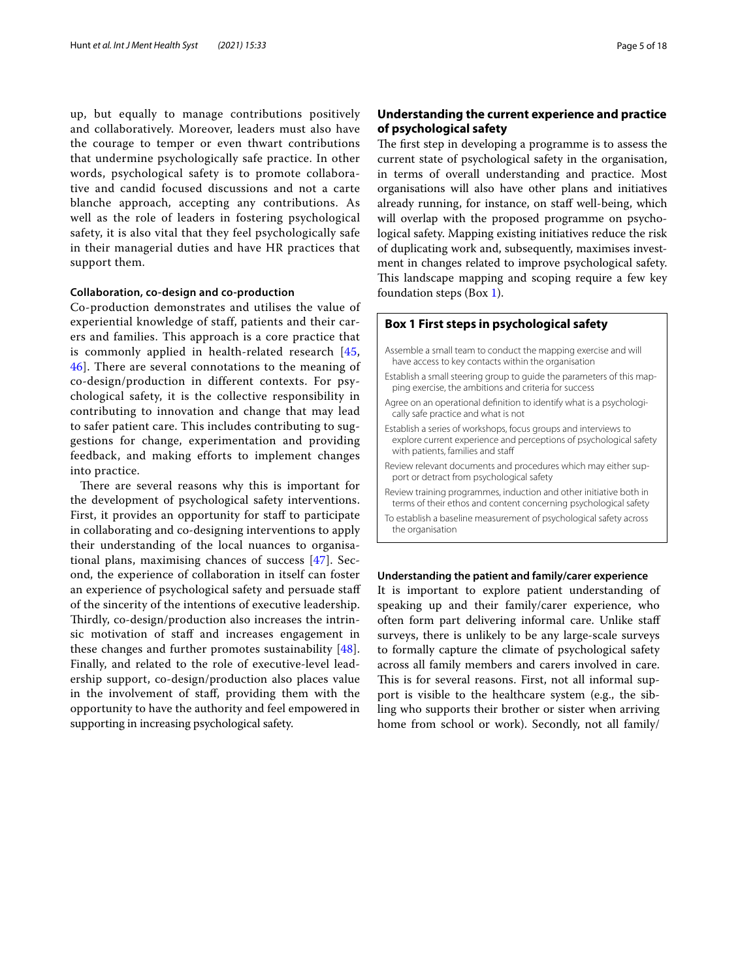up, but equally to manage contributions positively and collaboratively. Moreover, leaders must also have the courage to temper or even thwart contributions that undermine psychologically safe practice. In other words, psychological safety is to promote collaborative and candid focused discussions and not a carte blanche approach, accepting any contributions. As well as the role of leaders in fostering psychological safety, it is also vital that they feel psychologically safe in their managerial duties and have HR practices that support them.

# **Collaboration, co‑design and co‑production**

Co-production demonstrates and utilises the value of experiential knowledge of staff, patients and their carers and families. This approach is a core practice that is commonly applied in health-related research [[45](#page-16-14), [46\]](#page-16-15). There are several connotations to the meaning of co-design/production in different contexts. For psychological safety, it is the collective responsibility in contributing to innovation and change that may lead to safer patient care. This includes contributing to suggestions for change, experimentation and providing feedback, and making efforts to implement changes into practice.

There are several reasons why this is important for the development of psychological safety interventions. First, it provides an opportunity for staff to participate in collaborating and co-designing interventions to apply their understanding of the local nuances to organisational plans, maximising chances of success [[47](#page-16-16)]. Second, the experience of collaboration in itself can foster an experience of psychological safety and persuade staf of the sincerity of the intentions of executive leadership. Thirdly, co-design/production also increases the intrinsic motivation of staff and increases engagement in these changes and further promotes sustainability [[48](#page-16-17)]. Finally, and related to the role of executive-level leadership support, co-design/production also places value in the involvement of staf, providing them with the opportunity to have the authority and feel empowered in supporting in increasing psychological safety.

# **Understanding the current experience and practice of psychological safety**

The first step in developing a programme is to assess the current state of psychological safety in the organisation, in terms of overall understanding and practice. Most organisations will also have other plans and initiatives already running, for instance, on staff well-being, which will overlap with the proposed programme on psychological safety. Mapping existing initiatives reduce the risk of duplicating work and, subsequently, maximises investment in changes related to improve psychological safety. This landscape mapping and scoping require a few key foundation steps (Box [1](#page-4-0)).

# <span id="page-4-0"></span>**Box 1 First steps in psychological safety**

- Assemble a small team to conduct the mapping exercise and will have access to key contacts within the organisation
- Establish a small steering group to guide the parameters of this mapping exercise, the ambitions and criteria for success
- Agree on an operational defnition to identify what is a psychologically safe practice and what is not
- Establish a series of workshops, focus groups and interviews to explore current experience and perceptions of psychological safety with patients, families and staff
- Review relevant documents and procedures which may either support or detract from psychological safety
- Review training programmes, induction and other initiative both in terms of their ethos and content concerning psychological safety
- To establish a baseline measurement of psychological safety across the organisation

#### **Understanding the patient and family/carer experience**

It is important to explore patient understanding of speaking up and their family/carer experience, who often form part delivering informal care. Unlike staf surveys, there is unlikely to be any large-scale surveys to formally capture the climate of psychological safety across all family members and carers involved in care. This is for several reasons. First, not all informal support is visible to the healthcare system (e.g., the sibling who supports their brother or sister when arriving home from school or work). Secondly, not all family/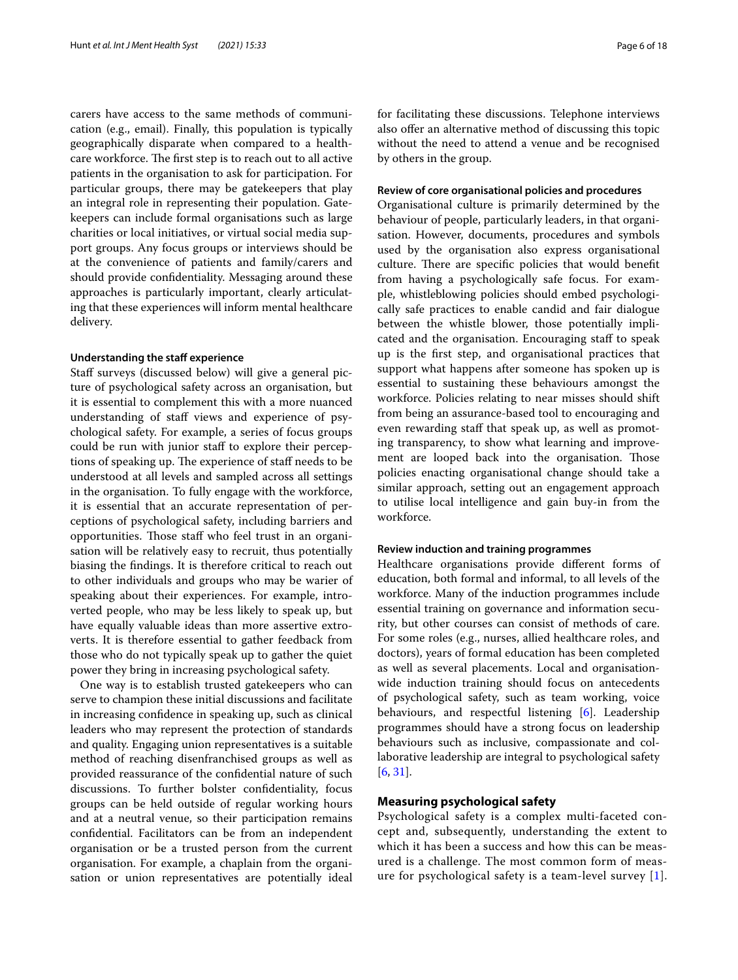carers have access to the same methods of communication (e.g., email). Finally, this population is typically geographically disparate when compared to a healthcare workforce. The first step is to reach out to all active patients in the organisation to ask for participation. For particular groups, there may be gatekeepers that play an integral role in representing their population. Gatekeepers can include formal organisations such as large charities or local initiatives, or virtual social media support groups. Any focus groups or interviews should be at the convenience of patients and family/carers and should provide confdentiality. Messaging around these approaches is particularly important, clearly articulating that these experiences will inform mental healthcare delivery.

#### **Understanding the staff experience**

Staff surveys (discussed below) will give a general picture of psychological safety across an organisation, but it is essential to complement this with a more nuanced understanding of staff views and experience of psychological safety. For example, a series of focus groups could be run with junior staff to explore their perceptions of speaking up. The experience of staff needs to be understood at all levels and sampled across all settings in the organisation. To fully engage with the workforce, it is essential that an accurate representation of perceptions of psychological safety, including barriers and opportunities. Those staff who feel trust in an organisation will be relatively easy to recruit, thus potentially biasing the fndings. It is therefore critical to reach out to other individuals and groups who may be warier of speaking about their experiences. For example, introverted people, who may be less likely to speak up, but have equally valuable ideas than more assertive extroverts. It is therefore essential to gather feedback from those who do not typically speak up to gather the quiet power they bring in increasing psychological safety.

One way is to establish trusted gatekeepers who can serve to champion these initial discussions and facilitate in increasing confdence in speaking up, such as clinical leaders who may represent the protection of standards and quality. Engaging union representatives is a suitable method of reaching disenfranchised groups as well as provided reassurance of the confdential nature of such discussions. To further bolster confdentiality, focus groups can be held outside of regular working hours and at a neutral venue, so their participation remains confdential. Facilitators can be from an independent organisation or be a trusted person from the current organisation. For example, a chaplain from the organisation or union representatives are potentially ideal for facilitating these discussions. Telephone interviews also offer an alternative method of discussing this topic without the need to attend a venue and be recognised by others in the group.

#### **Review of core organisational policies and procedures**

Organisational culture is primarily determined by the behaviour of people, particularly leaders, in that organisation. However, documents, procedures and symbols used by the organisation also express organisational culture. There are specific policies that would benefit from having a psychologically safe focus. For example, whistleblowing policies should embed psychologically safe practices to enable candid and fair dialogue between the whistle blower, those potentially implicated and the organisation. Encouraging staff to speak up is the frst step, and organisational practices that support what happens after someone has spoken up is essential to sustaining these behaviours amongst the workforce. Policies relating to near misses should shift from being an assurance-based tool to encouraging and even rewarding staff that speak up, as well as promoting transparency, to show what learning and improvement are looped back into the organisation. Those policies enacting organisational change should take a similar approach, setting out an engagement approach to utilise local intelligence and gain buy-in from the workforce.

#### **Review induction and training programmes**

Healthcare organisations provide diferent forms of education, both formal and informal, to all levels of the workforce. Many of the induction programmes include essential training on governance and information security, but other courses can consist of methods of care. For some roles (e.g., nurses, allied healthcare roles, and doctors), years of formal education has been completed as well as several placements. Local and organisationwide induction training should focus on antecedents of psychological safety, such as team working, voice behaviours, and respectful listening [[6\]](#page-15-3). Leadership programmes should have a strong focus on leadership behaviours such as inclusive, compassionate and collaborative leadership are integral to psychological safety [[6,](#page-15-3) [31](#page-16-2)].

# **Measuring psychological safety**

Psychological safety is a complex multi-faceted concept and, subsequently, understanding the extent to which it has been a success and how this can be measured is a challenge. The most common form of measure for psychological safety is a team-level survey [[1\]](#page-15-0).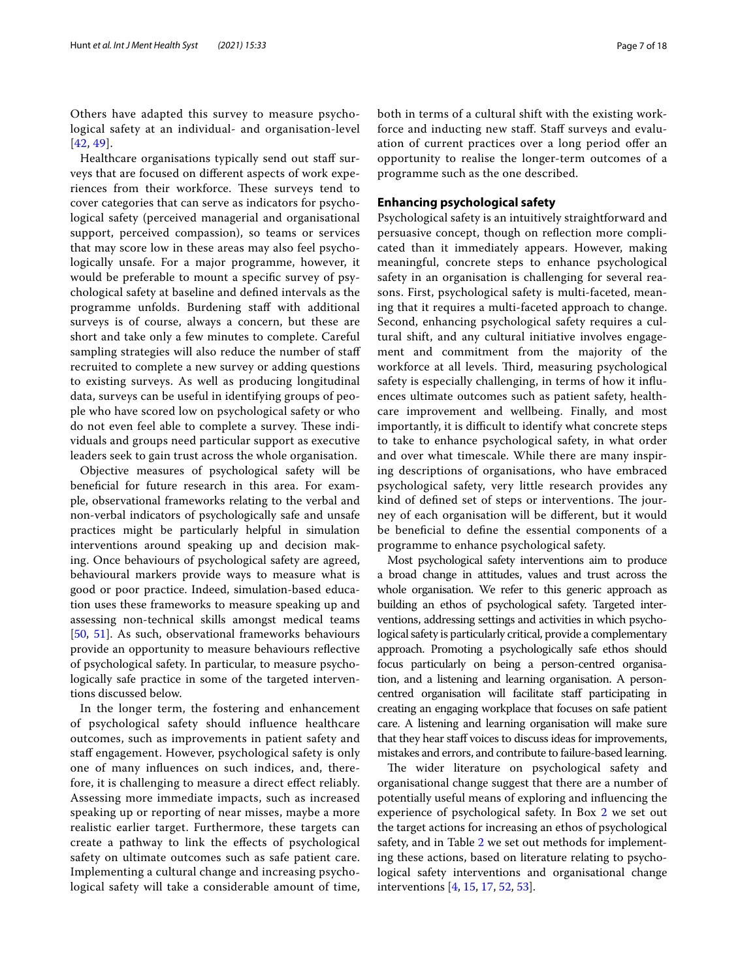Others have adapted this survey to measure psychological safety at an individual- and organisation-level [[42](#page-16-18), [49](#page-16-19)].

Healthcare organisations typically send out staff surveys that are focused on diferent aspects of work experiences from their workforce. These surveys tend to cover categories that can serve as indicators for psychological safety (perceived managerial and organisational support, perceived compassion), so teams or services that may score low in these areas may also feel psychologically unsafe. For a major programme, however, it would be preferable to mount a specifc survey of psychological safety at baseline and defned intervals as the programme unfolds. Burdening staf with additional surveys is of course, always a concern, but these are short and take only a few minutes to complete. Careful sampling strategies will also reduce the number of staf recruited to complete a new survey or adding questions to existing surveys. As well as producing longitudinal data, surveys can be useful in identifying groups of people who have scored low on psychological safety or who do not even feel able to complete a survey. These individuals and groups need particular support as executive leaders seek to gain trust across the whole organisation.

Objective measures of psychological safety will be benefcial for future research in this area. For example, observational frameworks relating to the verbal and non-verbal indicators of psychologically safe and unsafe practices might be particularly helpful in simulation interventions around speaking up and decision making. Once behaviours of psychological safety are agreed, behavioural markers provide ways to measure what is good or poor practice. Indeed, simulation-based education uses these frameworks to measure speaking up and assessing non-technical skills amongst medical teams [[50,](#page-16-20) [51\]](#page-16-21). As such, observational frameworks behaviours provide an opportunity to measure behaviours refective of psychological safety. In particular, to measure psychologically safe practice in some of the targeted interventions discussed below.

In the longer term, the fostering and enhancement of psychological safety should infuence healthcare outcomes, such as improvements in patient safety and staff engagement. However, psychological safety is only one of many infuences on such indices, and, therefore, it is challenging to measure a direct efect reliably. Assessing more immediate impacts, such as increased speaking up or reporting of near misses, maybe a more realistic earlier target. Furthermore, these targets can create a pathway to link the efects of psychological safety on ultimate outcomes such as safe patient care. Implementing a cultural change and increasing psychological safety will take a considerable amount of time, both in terms of a cultural shift with the existing workforce and inducting new staff. Staff surveys and evaluation of current practices over a long period ofer an opportunity to realise the longer-term outcomes of a programme such as the one described.

# **Enhancing psychological safety**

Psychological safety is an intuitively straightforward and persuasive concept, though on refection more complicated than it immediately appears. However, making meaningful, concrete steps to enhance psychological safety in an organisation is challenging for several reasons. First, psychological safety is multi-faceted, meaning that it requires a multi-faceted approach to change. Second, enhancing psychological safety requires a cultural shift, and any cultural initiative involves engagement and commitment from the majority of the workforce at all levels. Third, measuring psychological safety is especially challenging, in terms of how it infuences ultimate outcomes such as patient safety, healthcare improvement and wellbeing. Finally, and most importantly, it is difficult to identify what concrete steps to take to enhance psychological safety, in what order and over what timescale. While there are many inspiring descriptions of organisations, who have embraced psychological safety, very little research provides any kind of defined set of steps or interventions. The journey of each organisation will be diferent, but it would be benefcial to defne the essential components of a programme to enhance psychological safety.

Most psychological safety interventions aim to produce a broad change in attitudes, values and trust across the whole organisation. We refer to this generic approach as building an ethos of psychological safety. Targeted interventions, addressing settings and activities in which psychological safety is particularly critical, provide a complementary approach. Promoting a psychologically safe ethos should focus particularly on being a person-centred organisation, and a listening and learning organisation. A personcentred organisation will facilitate staff participating in creating an engaging workplace that focuses on safe patient care. A listening and learning organisation will make sure that they hear staff voices to discuss ideas for improvements, mistakes and errors, and contribute to failure-based learning.

The wider literature on psychological safety and organisational change suggest that there are a number of potentially useful means of exploring and infuencing the experience of psychological safety. In Box [2](#page-7-0) we set out the target actions for increasing an ethos of psychological safety, and in Table [2](#page-8-0) we set out methods for implementing these actions, based on literature relating to psychological safety interventions and organisational change interventions [[4,](#page-15-24) [15,](#page-15-10) [17](#page-15-12), [52,](#page-16-22) [53](#page-16-23)].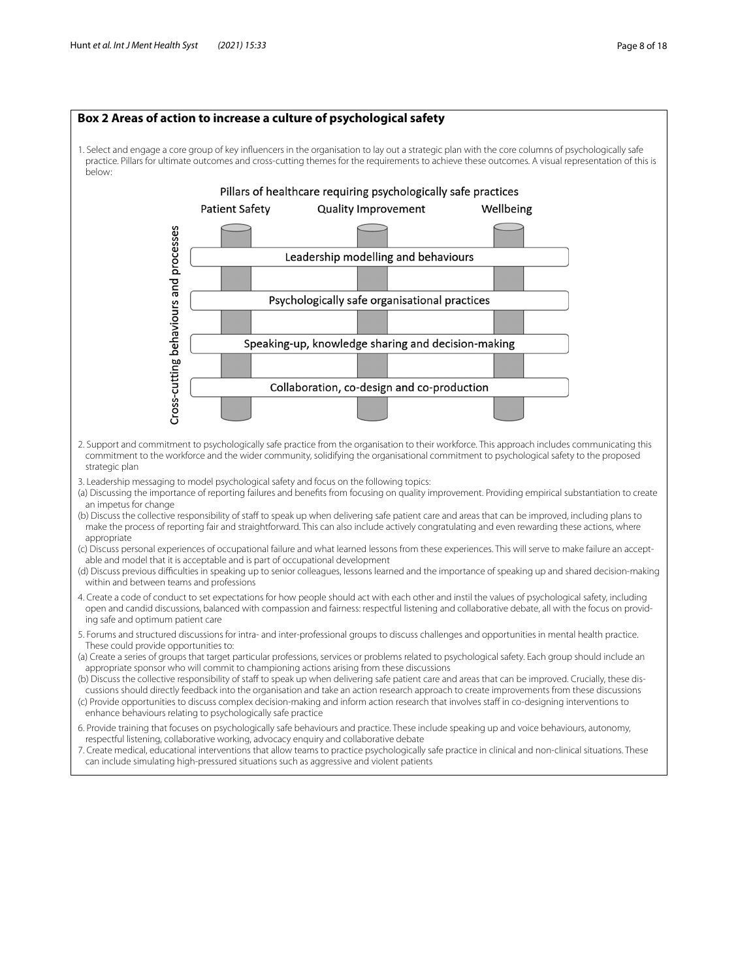<span id="page-7-0"></span>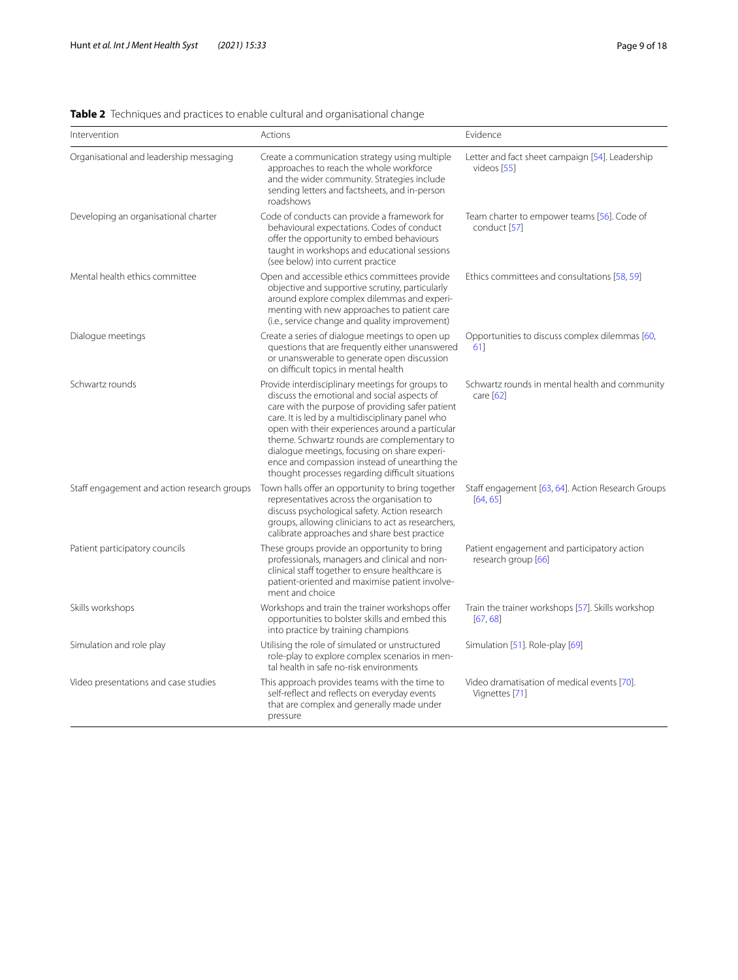# <span id="page-8-0"></span>**Table 2** Techniques and practices to enable cultural and organisational change

| Intervention                                | Actions                                                                                                                                                                                                                                                                                                                                                                                                                                                        | Evidence                                                           |
|---------------------------------------------|----------------------------------------------------------------------------------------------------------------------------------------------------------------------------------------------------------------------------------------------------------------------------------------------------------------------------------------------------------------------------------------------------------------------------------------------------------------|--------------------------------------------------------------------|
| Organisational and leadership messaging     | Create a communication strategy using multiple<br>approaches to reach the whole workforce<br>and the wider community. Strategies include<br>sending letters and factsheets, and in-person<br>roadshows                                                                                                                                                                                                                                                         | Letter and fact sheet campaign [54]. Leadership<br>videos [55]     |
| Developing an organisational charter        | Code of conducts can provide a framework for<br>behavioural expectations. Codes of conduct<br>offer the opportunity to embed behaviours<br>taught in workshops and educational sessions<br>(see below) into current practice                                                                                                                                                                                                                                   | Team charter to empower teams [56]. Code of<br>conduct [57]        |
| Mental health ethics committee              | Open and accessible ethics committees provide<br>objective and supportive scrutiny, particularly<br>around explore complex dilemmas and experi-<br>menting with new approaches to patient care<br>(i.e., service change and quality improvement)                                                                                                                                                                                                               | Ethics committees and consultations [58, 59]                       |
| Dialogue meetings                           | Create a series of dialogue meetings to open up<br>questions that are frequently either unanswered<br>or unanswerable to generate open discussion<br>on difficult topics in mental health                                                                                                                                                                                                                                                                      | Opportunities to discuss complex dilemmas [60,<br>61]              |
| Schwartz rounds                             | Provide interdisciplinary meetings for groups to<br>discuss the emotional and social aspects of<br>care with the purpose of providing safer patient<br>care. It is led by a multidisciplinary panel who<br>open with their experiences around a particular<br>theme. Schwartz rounds are complementary to<br>dialogue meetings, focusing on share experi-<br>ence and compassion instead of unearthing the<br>thought processes regarding difficult situations | Schwartz rounds in mental health and community<br>care [62]        |
| Staff engagement and action research groups | Town halls offer an opportunity to bring together<br>representatives across the organisation to<br>discuss psychological safety. Action research<br>groups, allowing clinicians to act as researchers,<br>calibrate approaches and share best practice                                                                                                                                                                                                         | Staff engagement [63, 64]. Action Research Groups<br>[64, 65]      |
| Patient participatory councils              | These groups provide an opportunity to bring<br>professionals, managers and clinical and non-<br>clinical staff together to ensure healthcare is<br>patient-oriented and maximise patient involve-<br>ment and choice                                                                                                                                                                                                                                          | Patient engagement and participatory action<br>research group [66] |
| Skills workshops                            | Workshops and train the trainer workshops offer<br>opportunities to bolster skills and embed this<br>into practice by training champions                                                                                                                                                                                                                                                                                                                       | Train the trainer workshops [57]. Skills workshop<br>[67, 68]      |
| Simulation and role play                    | Utilising the role of simulated or unstructured<br>role-play to explore complex scenarios in men-<br>tal health in safe no-risk environments                                                                                                                                                                                                                                                                                                                   | Simulation [51]. Role-play [69]                                    |
| Video presentations and case studies        | This approach provides teams with the time to<br>self-reflect and reflects on everyday events<br>that are complex and generally made under<br>pressure                                                                                                                                                                                                                                                                                                         | Video dramatisation of medical events [70].<br>Vignettes [71]      |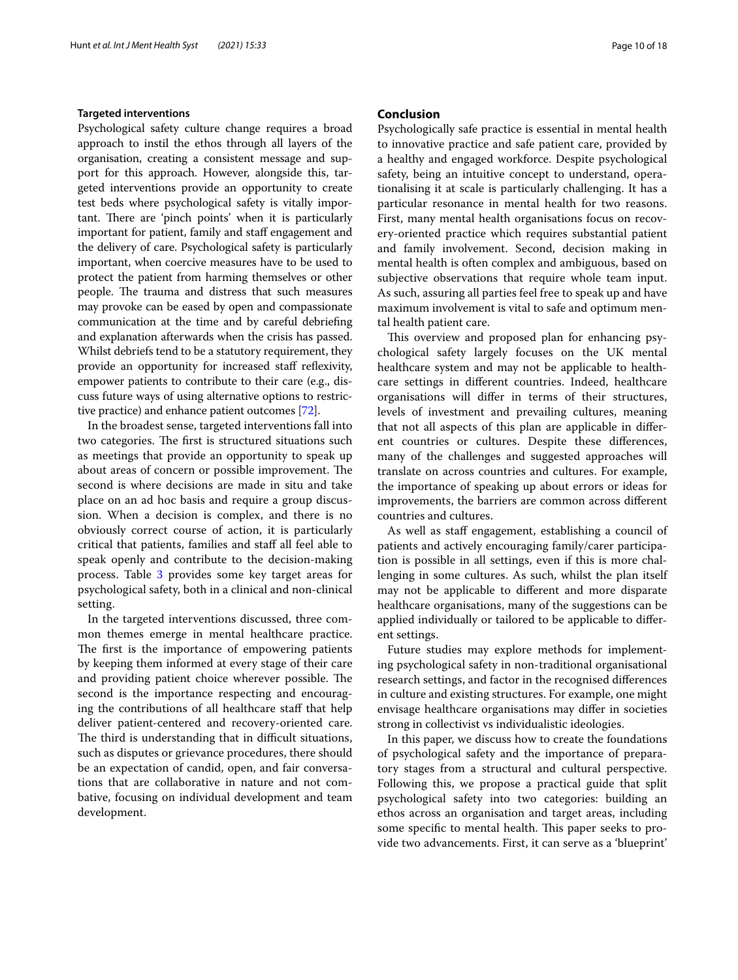## **Targeted interventions**

Psychological safety culture change requires a broad approach to instil the ethos through all layers of the organisation, creating a consistent message and support for this approach. However, alongside this, targeted interventions provide an opportunity to create test beds where psychological safety is vitally important. There are 'pinch points' when it is particularly important for patient, family and staff engagement and the delivery of care. Psychological safety is particularly important, when coercive measures have to be used to protect the patient from harming themselves or other people. The trauma and distress that such measures may provoke can be eased by open and compassionate communication at the time and by careful debriefng and explanation afterwards when the crisis has passed. Whilst debriefs tend to be a statutory requirement, they provide an opportunity for increased staff reflexivity, empower patients to contribute to their care (e.g., discuss future ways of using alternative options to restrictive practice) and enhance patient outcomes [[72](#page-17-1)].

In the broadest sense, targeted interventions fall into two categories. The first is structured situations such as meetings that provide an opportunity to speak up about areas of concern or possible improvement. The second is where decisions are made in situ and take place on an ad hoc basis and require a group discussion. When a decision is complex, and there is no obviously correct course of action, it is particularly critical that patients, families and staf all feel able to speak openly and contribute to the decision-making process. Table [3](#page-10-0) provides some key target areas for psychological safety, both in a clinical and non-clinical setting.

In the targeted interventions discussed, three common themes emerge in mental healthcare practice. The first is the importance of empowering patients by keeping them informed at every stage of their care and providing patient choice wherever possible. The second is the importance respecting and encouraging the contributions of all healthcare staf that help deliver patient-centered and recovery-oriented care. The third is understanding that in difficult situations, such as disputes or grievance procedures, there should be an expectation of candid, open, and fair conversations that are collaborative in nature and not combative, focusing on individual development and team development.

# **Conclusion**

Psychologically safe practice is essential in mental health to innovative practice and safe patient care, provided by a healthy and engaged workforce. Despite psychological safety, being an intuitive concept to understand, operationalising it at scale is particularly challenging. It has a particular resonance in mental health for two reasons. First, many mental health organisations focus on recovery-oriented practice which requires substantial patient and family involvement. Second, decision making in mental health is often complex and ambiguous, based on subjective observations that require whole team input. As such, assuring all parties feel free to speak up and have maximum involvement is vital to safe and optimum mental health patient care.

This overview and proposed plan for enhancing psychological safety largely focuses on the UK mental healthcare system and may not be applicable to healthcare settings in diferent countries. Indeed, healthcare organisations will difer in terms of their structures, levels of investment and prevailing cultures, meaning that not all aspects of this plan are applicable in diferent countries or cultures. Despite these diferences, many of the challenges and suggested approaches will translate on across countries and cultures. For example, the importance of speaking up about errors or ideas for improvements, the barriers are common across diferent countries and cultures.

As well as staff engagement, establishing a council of patients and actively encouraging family/carer participation is possible in all settings, even if this is more challenging in some cultures. As such, whilst the plan itself may not be applicable to diferent and more disparate healthcare organisations, many of the suggestions can be applied individually or tailored to be applicable to diferent settings.

Future studies may explore methods for implementing psychological safety in non-traditional organisational research settings, and factor in the recognised diferences in culture and existing structures. For example, one might envisage healthcare organisations may difer in societies strong in collectivist vs individualistic ideologies.

In this paper, we discuss how to create the foundations of psychological safety and the importance of preparatory stages from a structural and cultural perspective. Following this, we propose a practical guide that split psychological safety into two categories: building an ethos across an organisation and target areas, including some specific to mental health. This paper seeks to provide two advancements. First, it can serve as a 'blueprint'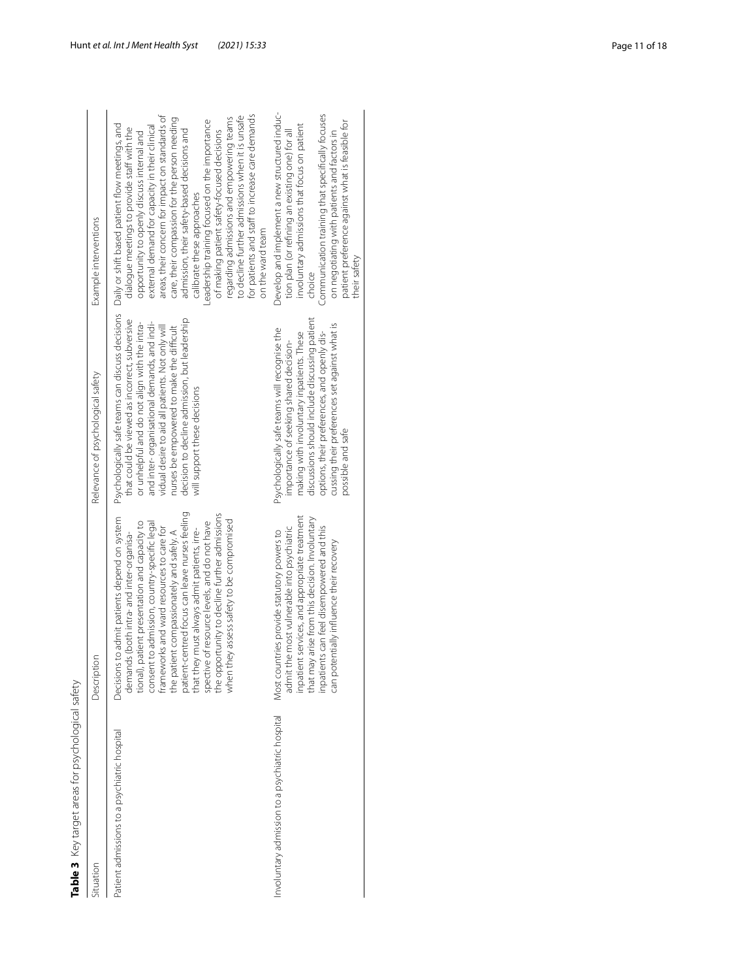| Table 3 Key target areas for psychological safety |                                                                                                                                                                                                                                                                                                                                                                                                                                                                                                                                    |                                                                                                                                                                                                                                                                                                                                                                                     |                                                                                                                                                                                                                                                                                                                                                                                                                                                                                                                                                                                                                                                       |
|---------------------------------------------------|------------------------------------------------------------------------------------------------------------------------------------------------------------------------------------------------------------------------------------------------------------------------------------------------------------------------------------------------------------------------------------------------------------------------------------------------------------------------------------------------------------------------------------|-------------------------------------------------------------------------------------------------------------------------------------------------------------------------------------------------------------------------------------------------------------------------------------------------------------------------------------------------------------------------------------|-------------------------------------------------------------------------------------------------------------------------------------------------------------------------------------------------------------------------------------------------------------------------------------------------------------------------------------------------------------------------------------------------------------------------------------------------------------------------------------------------------------------------------------------------------------------------------------------------------------------------------------------------------|
| Situation                                         | Description                                                                                                                                                                                                                                                                                                                                                                                                                                                                                                                        | Relevance of psychological safety                                                                                                                                                                                                                                                                                                                                                   | Example interventions                                                                                                                                                                                                                                                                                                                                                                                                                                                                                                                                                                                                                                 |
| Patient admissions to a psychiatric hospital      | patient-centred focus can leave nurses feeling<br>the opportunity to decline further admissions<br>Decisions to admit patients depend on system<br>when they assess safety to be compromised<br>spective of resource levels, and do not have<br>tional), patient presentation and capacity to<br>consent to admission, country-specific legal<br>frameworks and ward resources to care for<br>that they must always admit patients, irre-<br>the patient compassionately and safely. A<br>demands (both intra- and inter-organisa- | Psychologically safe teams can discuss decisions<br>that could be viewed as incorrect, subversive<br>decision to decline admission, but leadership<br>and inter-organisational demands, and indi-<br>or unhelpful and do not align with the intra-<br>vidual desire to aid all patients. Not only will<br>nurses be empowered to make the difficult<br>will support these decisions | areas, their concern for impact on standards of<br>for patients and staff to increase care demands<br>to decline further admissions when it is unsafe<br>care, their compassion for the person needing<br>regarding admissions and empowering teams<br>Leadership training focused on the importance<br>Daily or shift based patient flow meetings, and<br>external demand for capacity in their clinical<br>dialogue meetings to provide staff with the<br>admission, their safety-based decisions and<br>of making patient safety-focused decisions<br>opportunity to openly discuss internal and<br>calibrate these approaches<br>on the ward team |
| Involuntary admission to a psychiatric hospital   | inpatient services, and appropriate treatment<br>that may arise from this decision. Involuntary<br>inpatients can feel disempowered and this<br>admit the most vulnerable into psychiatric<br>Most countries provide statutory powers to<br>can potentially influence their recovery                                                                                                                                                                                                                                               | discussions should include discussing patient<br>cussing their preferences set against what is<br>Psychologically safe teams will recognise the<br>making with involuntary inpatients. These<br>options, their preferences, and openly dis-<br>importance of seeking shared decision-<br>possible and safe                                                                          | Develop and implement a new structured induc-<br>Communication training that specifically focuses<br>patient preference against what is feasible for<br>involuntary admissions that focus on patient<br>tion plan (or refining an existing one) for all<br>on negotiating with patients and factors in<br>their safety<br>choice                                                                                                                                                                                                                                                                                                                      |
|                                                   |                                                                                                                                                                                                                                                                                                                                                                                                                                                                                                                                    |                                                                                                                                                                                                                                                                                                                                                                                     |                                                                                                                                                                                                                                                                                                                                                                                                                                                                                                                                                                                                                                                       |

<span id="page-10-0"></span>

| i<br>j<br>$\frac{1}{2}$<br>١ |
|------------------------------|
| ١<br>١                       |
|                              |
| こくへい<br>1<br>i<br>١<br>١     |
| ı                            |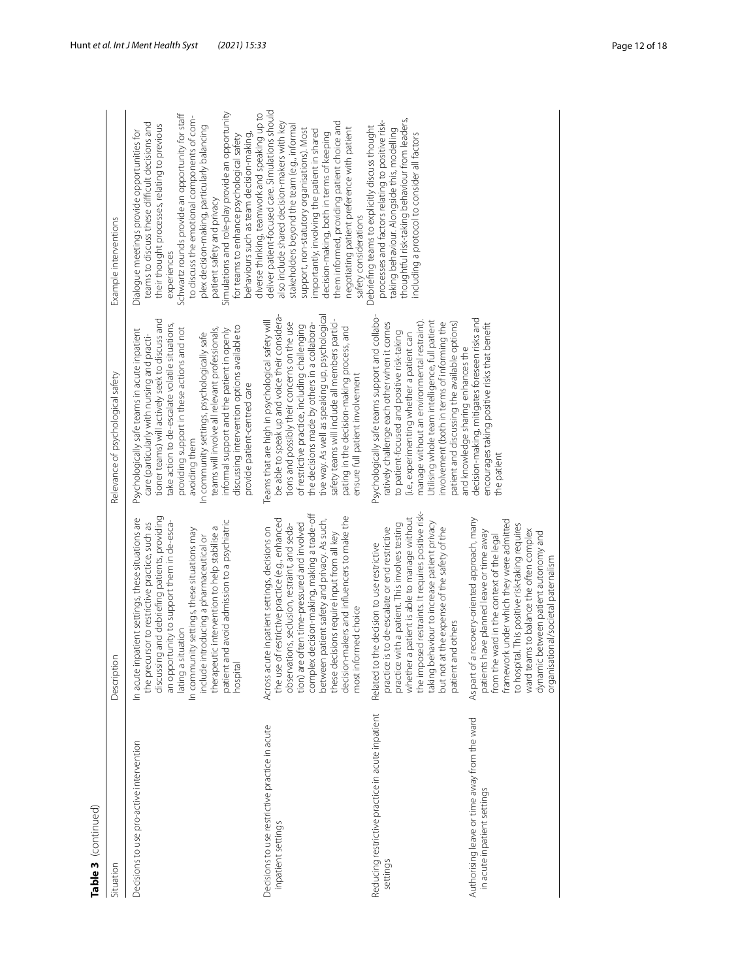| п |
|---|
|   |
|   |
|   |

| Table 3 (continued)                                                         |                                                                                                                                                                                                                                                                                                                                                                                                                                |                                                                                                                                                                                                                                                                                                                                                                                                                                                                                                  |                                                                                                                                                                                                                                                                                                                                                                                                                                                                                             |
|-----------------------------------------------------------------------------|--------------------------------------------------------------------------------------------------------------------------------------------------------------------------------------------------------------------------------------------------------------------------------------------------------------------------------------------------------------------------------------------------------------------------------|--------------------------------------------------------------------------------------------------------------------------------------------------------------------------------------------------------------------------------------------------------------------------------------------------------------------------------------------------------------------------------------------------------------------------------------------------------------------------------------------------|---------------------------------------------------------------------------------------------------------------------------------------------------------------------------------------------------------------------------------------------------------------------------------------------------------------------------------------------------------------------------------------------------------------------------------------------------------------------------------------------|
| Situation                                                                   | Description                                                                                                                                                                                                                                                                                                                                                                                                                    | Relevance of psychological safety                                                                                                                                                                                                                                                                                                                                                                                                                                                                | Example interventions                                                                                                                                                                                                                                                                                                                                                                                                                                                                       |
| Decisions to use pro-active intervention                                    | discussing and debriefing patients, providing<br>In acute inpatient settings, these situations are<br>an opportunity to support them in de-esca-<br>patient and avoid admission to a psychiatric<br>the precursor to restrictive practice, such as<br>therapeutic intervention to help stabilise a<br>In community settings, these situations may<br>include introducing a pharmaceutical or<br>lating a situation<br>hospital | tioner teams) will actively seek to discuss and<br>take action to de-escalate volatile situations,<br>discussing intervention options available to<br>providing support in these actions and not<br>teams will involve all relevant professionals,<br>Psychologically safe teams in acute inpatient<br>informal support and the patient in openly<br>In community settings, psychologically safe<br>care (particularly with nursing and practi-<br>provide patient-centred care<br>avoiding them | Simulations and role-play provide an opportunity<br>Schwartz rounds provide an opportunity for staff<br>to discuss the emotional components of com-<br>teams to discuss these difficult decisions and<br>their thought processes, relating to previous<br>plex decision-making, particularly balancing<br>Dialogue meetings provide opportunities for<br>behaviours such as team decision-making,<br>for teams to enhance psychological safety<br>patient safety and privacy<br>experiences |
| Decisions to use restrictive practice in acute<br>inpatient settings        | complex decision-making, making a trade-off<br>decision-makers and influencers to make the<br>between patient safety and privacy. As such,<br>the use of restrictive practice (e.g., enhanced<br>tion) are often time-pressured and involved<br>observations, seclusion, restraint, and seda-<br>Across acute inpatient settings, decisions on<br>these decisions require input from all key<br>most informed choice           | tive way. As well as speaking up, psychological<br>be able to speak up and voice their considera-<br>safety teams will include all members partici-<br>Teams that are high in psychological safety will<br>tions and possibly their concerns on the use<br>the decisions made by others in a collabora-<br>of restrictive practice, including challenging<br>pating in the decision-making process, and<br>ensure full patient involvement                                                       | deliver patient-focused care. Simulations should<br>diverse thinking, teamwork and speaking up to<br>also include shared decision-makers with key<br>them informed, providing patient choice and<br>stakeholders beyond the team (e.g., informal<br>negotiating patient preference with patient<br>support, non-statutory organisations). Most<br>importantly, involving the patient in shared<br>decision-making, both in terms of keeping<br>safety considerations                        |
| Reducing restrictive practice in acute inpatient<br>settings                | the imposed restraints. It requires positive risk-<br>whether a patient is able to manage without<br>taking behaviour to increase patient privacy<br>practice with a patient. This involves testing<br>practice is to de-escalate or end restrictive<br>but not at the expense of the safety of the<br>Related to the decision to use restrictive<br>and others<br>patient                                                     | Psychologically safe teams support and collabo-<br>Utilising whole team intelligence, full patient<br>manage without an environmental restraint).<br>involvement (both in terms of informing the<br>patient and discussing the available options)<br>ratively challenge each other when it comes<br>to patient-focused and positive risk-taking<br>(i.e., experimenting whether a patient can                                                                                                    | thoughtful risk-taking behaviour from leaders,<br>processes and factors relating to positive risk-<br>Debriefing teams to explicitly discuss thought<br>taking behaviour. Alongside this, modelling<br>including a protocol to consider all factors                                                                                                                                                                                                                                         |
| Authorising leave or time away from the ward<br>in acute inpatient settings | As part of a recovery-oriented approach, many<br>framework under which they were admitted<br>to hospital. This positive risk-taking requires<br>ward teams to balance the often complex<br>patients have planned leave or time away<br>dynamic between patient autonomy and<br>from the ward in the context of the legal<br>organisational/societal paternalism                                                                | decision-making, mitigates foreseen risks and<br>encourages taking positive risks that benefit<br>and knowledge sharing enhances the<br>the patient                                                                                                                                                                                                                                                                                                                                              |                                                                                                                                                                                                                                                                                                                                                                                                                                                                                             |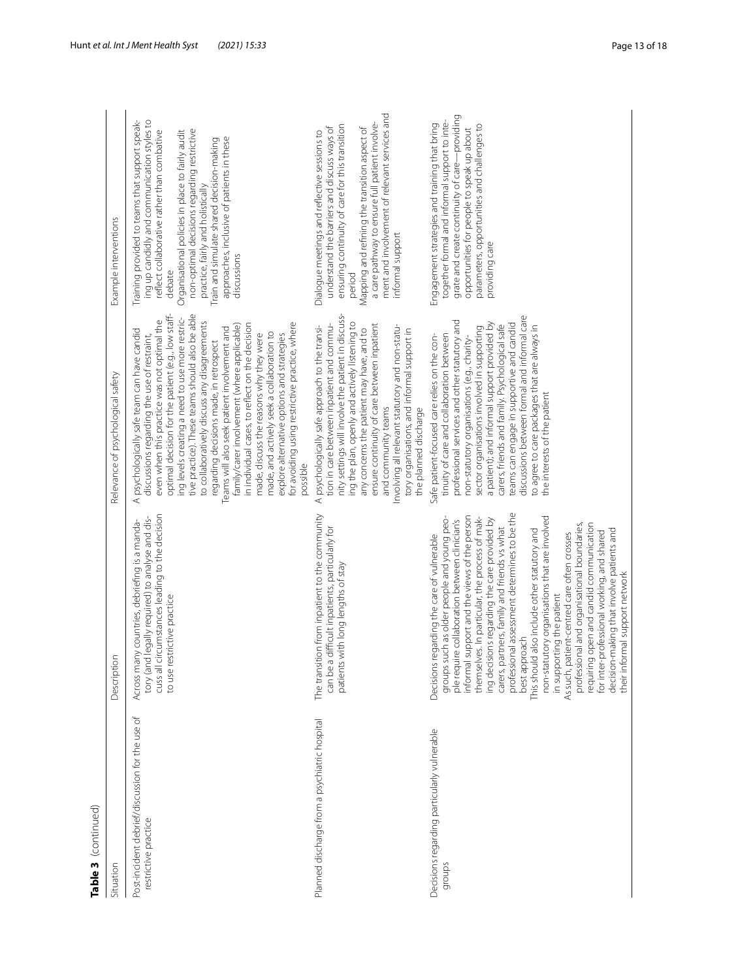| n | ı |
|---|---|
|   |   |
| ť |   |
|   |   |
|   |   |
|   |   |
|   |   |

| Table 3 (continued)                                                     |                                                                                                                                                                                                                                                                                                                                                                                                                                                                                                                                                                                                                                                                                                                                                                                                                     |                                                                                                                                                                                                                                                                                                                                                                                                                                                                                                                                                                                                                                                                                                                                                                  |                                                                                                                                                                                                                                                                                                                                                                                                          |
|-------------------------------------------------------------------------|---------------------------------------------------------------------------------------------------------------------------------------------------------------------------------------------------------------------------------------------------------------------------------------------------------------------------------------------------------------------------------------------------------------------------------------------------------------------------------------------------------------------------------------------------------------------------------------------------------------------------------------------------------------------------------------------------------------------------------------------------------------------------------------------------------------------|------------------------------------------------------------------------------------------------------------------------------------------------------------------------------------------------------------------------------------------------------------------------------------------------------------------------------------------------------------------------------------------------------------------------------------------------------------------------------------------------------------------------------------------------------------------------------------------------------------------------------------------------------------------------------------------------------------------------------------------------------------------|----------------------------------------------------------------------------------------------------------------------------------------------------------------------------------------------------------------------------------------------------------------------------------------------------------------------------------------------------------------------------------------------------------|
| Situation                                                               | $\overline{5}$<br>Descript                                                                                                                                                                                                                                                                                                                                                                                                                                                                                                                                                                                                                                                                                                                                                                                          | Relevance of psychological safety                                                                                                                                                                                                                                                                                                                                                                                                                                                                                                                                                                                                                                                                                                                                | Example interventions                                                                                                                                                                                                                                                                                                                                                                                    |
| Post-incident debrief/discussion for the use of<br>restrictive practice | I circumstances leading to the decision<br>tory (and legally required) to analyse and dis-<br>Across many countries, debriefing is a manda-<br>to use restrictive practice<br>cuss all                                                                                                                                                                                                                                                                                                                                                                                                                                                                                                                                                                                                                              | tive practice). These teams should also be able<br>optimal decision for the patient (e.g., low staff-<br>ing levels creating a need to use more restric-<br>even when this practice was not optimal the<br>to collaboratively discuss any disagreements<br>for avoiding using restrictive practice, where<br>in individual cases, to reflect on the decision<br>family/carer involvement (where applicable)<br>Teams will also seek patient involvement and<br>psychologically safe team can have candid<br>made, and actively seek a collaboration to<br>made, discuss the reasons why they were<br>explore alternative options and strategies<br>discussions regarding the use of restraint,<br>regarding decisions made, in retrospect<br>possible<br>$\prec$ | Training provided to teams that support speak-<br>ing up candidly and communication styles to<br>non-optimal decisions regarding restrictive<br>reflect collaborative rather than combative<br>Organisational policies in place to fairly audit<br>approaches, inclusive of patients in these<br>Train and simulate shared decision-making<br>practice, fairly and holistically<br>discussions<br>debate |
| Planned discharge from a psychiatric hospital                           | The transition from inpatient to the community<br>can be a difficult inpatients, particularly for<br>patients with long lengths of stay                                                                                                                                                                                                                                                                                                                                                                                                                                                                                                                                                                                                                                                                             | nity settings will involve the patient in discuss-<br>ing the plan, openly and actively listening to<br>tion in care between inpatient and commu-<br>ensure continuity of care between inpatient<br>Involving all relevant statutory and non-statu-<br>psychologically safe approach to the transi-<br>any concerns the patient may have, and to<br>tory organisations, and informal support in<br>and community teams<br>the planned discharge<br>$\prec$                                                                                                                                                                                                                                                                                                       | ment and involvement of relevant services and<br>a care pathway to ensure full patient involve-<br>ensuring continuity of care for this transition<br>understand the barriers and discuss ways of<br>Mapping and refining the transition aspect of<br>Dialogue meetings and reflective sessions to<br>informal support<br>period                                                                         |
| Decisions regarding particularly vulnerable<br>groups                   | professional assessment determines to be the<br>informal support and the views of the person<br>non-statutory organisations that are involved<br>groups such as older people and young peo-<br>themselves. In particular, the process of mak-<br>ing decisions regarding the care provided by<br>ple require collaboration between clinician's<br>requiring open and candid communication<br>professional and organisational boundaries,<br>partners, family and friends vs what<br>This should also include other statutory and<br>decision-making that involve patients and<br>for inter-professional working, and shared<br>As such, patient-centred care often crosses<br>Decisions regarding the care of vulnerable<br>their informal support network<br>in supporting the patient<br>best approach<br>carers, | discussions between formal and informal care<br>professional services and other statutory and<br>a patient); and informal support provided by<br>teams can engage in supportive and candid<br>to agree to care packages that are always in<br>carers, friends and family. Psychological safe<br>sector organisations involved in supporting<br>tinuity of care and collaboration between<br>Safe patient-focused care relies on the con-<br>non-statutory organisations (e.g., charity-<br>the interests of the patient                                                                                                                                                                                                                                          | grate and create continuity of care-providing<br>together formal and informal support to inte-<br>Engagement strategies and training that bring<br>parameters, opportunities and challenges to<br>opportunities for people to speak up about<br>providing care                                                                                                                                           |
|                                                                         |                                                                                                                                                                                                                                                                                                                                                                                                                                                                                                                                                                                                                                                                                                                                                                                                                     |                                                                                                                                                                                                                                                                                                                                                                                                                                                                                                                                                                                                                                                                                                                                                                  |                                                                                                                                                                                                                                                                                                                                                                                                          |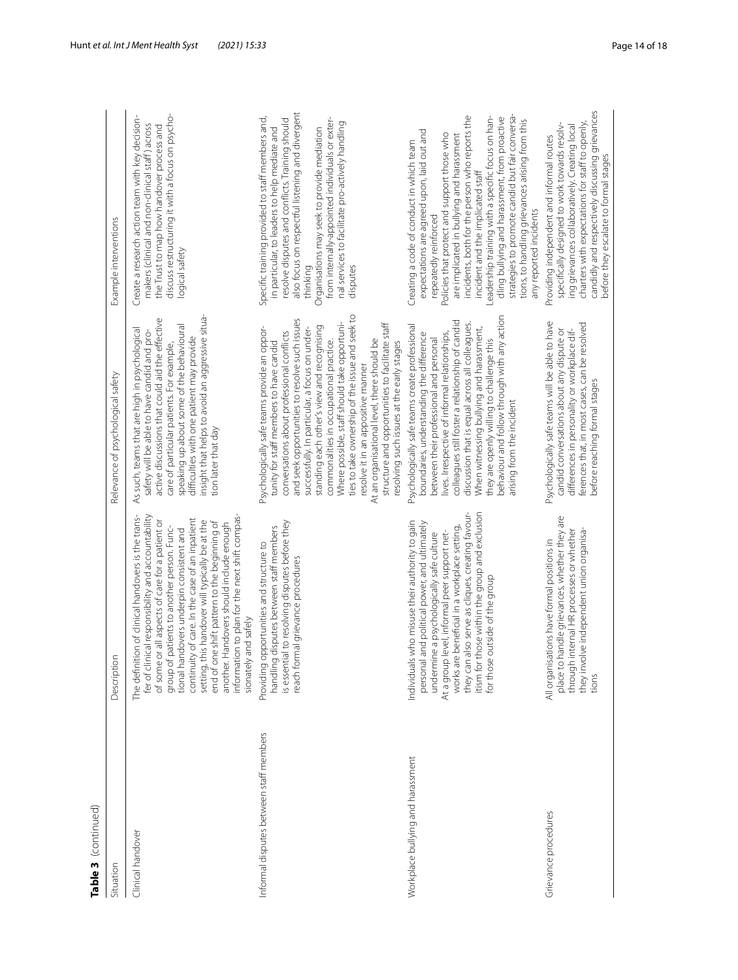| Table 3 (continued)                     |                                                                                                                                                                                                                                                                                                                                                                                                                                                                                                                                  |                                                                                                                                                                                                                                                                                                                                                                                                                                                                                                                                                                                                                           |                                                                                                                                                                                                                                                                                                                                                                                                                                                                                                                                          |
|-----------------------------------------|----------------------------------------------------------------------------------------------------------------------------------------------------------------------------------------------------------------------------------------------------------------------------------------------------------------------------------------------------------------------------------------------------------------------------------------------------------------------------------------------------------------------------------|---------------------------------------------------------------------------------------------------------------------------------------------------------------------------------------------------------------------------------------------------------------------------------------------------------------------------------------------------------------------------------------------------------------------------------------------------------------------------------------------------------------------------------------------------------------------------------------------------------------------------|------------------------------------------------------------------------------------------------------------------------------------------------------------------------------------------------------------------------------------------------------------------------------------------------------------------------------------------------------------------------------------------------------------------------------------------------------------------------------------------------------------------------------------------|
| Situation                               | <b>S</b><br>Descripti                                                                                                                                                                                                                                                                                                                                                                                                                                                                                                            | Relevance of psychological safety                                                                                                                                                                                                                                                                                                                                                                                                                                                                                                                                                                                         | Example interventions                                                                                                                                                                                                                                                                                                                                                                                                                                                                                                                    |
| Clinical handover                       | information to plan for the next shift compas-<br>fer of clinical responsibility and accountability<br>The definition of clinical handovers is the trans-<br>continuity of care. In the case of an inpatient<br>of some or all aspects of care for a patient or<br>setting, this handover will typically be at the<br>end of one shift pattern to the beginning of<br>another. Handovers should include enough<br>group of patients to another person. Func-<br>tional handovers underpin consistent and<br>sionately and safely | insight that helps to avoid an aggressive situa-<br>active discussions that could aid the effective<br>speaking up about some of the behavioural<br>As such, teams that are high in psychological<br>safety will be able to have candid and pro-<br>difficulties with one patient may provide<br>care of particular patients. For example,<br>tion later that day                                                                                                                                                                                                                                                         | Create a research action team with key decision-<br>discuss restructuring it with a focus on psycho-<br>makers (clinical and non-clinical staff) across<br>the Trust to map how handover process and<br>logical safety                                                                                                                                                                                                                                                                                                                   |
| Informal disputes between staff members | is essential to resolving disputes before they<br>handling disputes between staff members<br>Providing opportunities and structure to<br>reach formal grievance procedures                                                                                                                                                                                                                                                                                                                                                       | ties to take ownership of the issue and seek to<br>and seek opportunities to resolve such issues<br>Where possible, staff should take opportuni-<br>structure and opportunities to facilitate staff<br>standing each other's view and recognising<br>Psychologically safe teams provide an oppor-<br>successfully. In particular, a focus on under-<br>conversations about professional conflicts<br>At an organisational level, there should be<br>commonalities in occupational practice.<br>tunity for staff members to have candid<br>resolving such issues at the early stages<br>resolve it in an appositive manner | also focus on respectful listening and divergent<br>Specific training provided to staff members and,<br>resolve disputes and conflicts. Training should<br>from internally-appointed individuals or exter-<br>nal services to facilitate pro-actively handling<br>in particular, to leaders to help mediate and<br>Organisations may seek to provide mediation<br>thinking<br>disputes                                                                                                                                                   |
| Workplace bullying and harassment       | itism for those within the group and exclusion<br>for those outside of the group<br>they can also serve as cliques, creating favour-<br>Individuals who misuse their authority to gain<br>personal and political power, and ultimately<br>works are beneficial in a workplace setting,<br>At a group level, informal peer support net-<br>undermine a psychologically safe culture                                                                                                                                               | behaviour and follow through with any action<br>colleagues still foster a relationship of candid<br>discussion that is equal across all colleagues.<br>Psychologically safe teams create professional<br>When witnessing bullying and harassment,<br>lives. Irrespective of informal relationships,<br>boundaries, understanding the difference<br>between their professional and personal<br>they are openly willing to challenge this<br>arising from the incident                                                                                                                                                      | strategies to promote candid but fair conversa-<br>incidents, both for the person who reports the<br>Leadership training with a specific focus on han-<br>dling bullying and harassment, from proactive<br>tions, to handling grievances arising from this<br>expectations are agreed upon, laid out and<br>Policies that protect and support those who<br>are implicated in bullying and harassment<br>Creating a code of conduct in which team<br>incident and the implicated staff<br>any reported incidents<br>repeatedly reinforced |
| Grievance procedures                    | place to handle grievances, whether they are<br>through internal HR processes or whether<br>they involve independent union organisa-<br>All organisations have formal positions in<br>tions                                                                                                                                                                                                                                                                                                                                      | Psychologically safe teams will be able to have<br>ferences that, in most cases, can be resolved<br>candid conversations about any dispute or<br>differences in personality or workplace dif-<br>before reaching formal stages                                                                                                                                                                                                                                                                                                                                                                                            | candidly and respectively discussing grievances<br>charters with expectations for staff to openly,<br>specifically designed to work towards resolv-<br>ing grievances collaboratively. Creating local<br>Providing independent and informal routes<br>before they escalate to formal stages                                                                                                                                                                                                                                              |
|                                         |                                                                                                                                                                                                                                                                                                                                                                                                                                                                                                                                  |                                                                                                                                                                                                                                                                                                                                                                                                                                                                                                                                                                                                                           |                                                                                                                                                                                                                                                                                                                                                                                                                                                                                                                                          |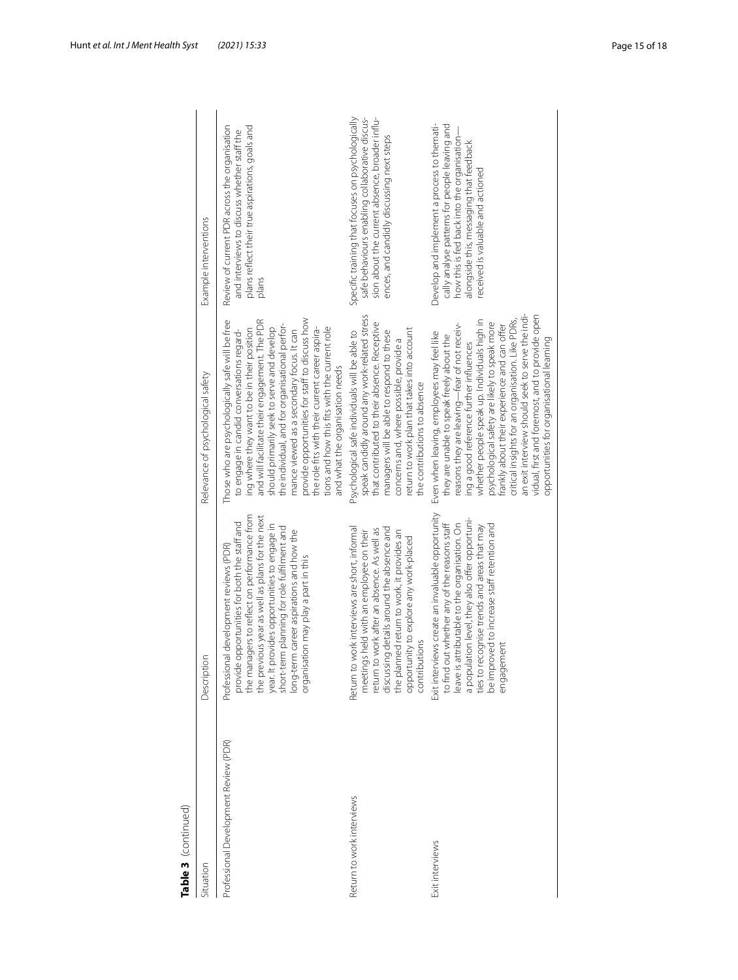| Table 3 (continued)                   |                                                                                                                                                                                                                                                                                                                                                                             |                                                                                                                                                                                                                                                                                                                                                                                                                                                                                                                                              |                                                                                                                                                                                                                             |
|---------------------------------------|-----------------------------------------------------------------------------------------------------------------------------------------------------------------------------------------------------------------------------------------------------------------------------------------------------------------------------------------------------------------------------|----------------------------------------------------------------------------------------------------------------------------------------------------------------------------------------------------------------------------------------------------------------------------------------------------------------------------------------------------------------------------------------------------------------------------------------------------------------------------------------------------------------------------------------------|-----------------------------------------------------------------------------------------------------------------------------------------------------------------------------------------------------------------------------|
| Situation                             | Description                                                                                                                                                                                                                                                                                                                                                                 | Relevance of psychological safety                                                                                                                                                                                                                                                                                                                                                                                                                                                                                                            | Example interventions                                                                                                                                                                                                       |
| Professional Development Review (PDR) | the managers to reflect on performance from<br>the previous year as well as plans for the next<br>provide opportunities for both the staff and<br>year. It provides opportunities to engage in<br>short-term planning for role fulfilment and<br>long-term career aspirations and how the<br>Professional development reviews (PDR)<br>organisation may play a part in this | provide opportunities for staff to discuss how<br>Those who are psychologically safe will be free<br>and will facilitate their engagement. The PDR<br>the individual, and for organisational perfor-<br>should primarily seek to serve and develop<br>tions and how this fits with the current role<br>ing where they want to be in their position<br>the role fits with their current career aspira-<br>mance viewed as a secondary focus. It can<br>to engage in candid conversations regard-<br>and what the organisation needs           | Review of current PDR across the organisation<br>plans reflect their true aspirations, goals and<br>and interviews to discuss whether staff the<br>plans                                                                    |
| Return to work interviews             | Return to work interviews are short, informal<br>discussing details around the absence and<br>return to work after an absence. As well as<br>meetings held with an employee on their<br>the planned return to work, it provides an<br>opportunity to explore any work-placed<br>contributions                                                                               | speak candidly around any work-related stress<br>that contributed to their absence. Receptive<br>return to work plan that takes into account<br>managers will be able to respond to these<br>Psychological safe individuals will be able to<br>concerns and, where possible, provide a<br>the contributions to absence                                                                                                                                                                                                                       | Specific training that focuses on psychologically<br>sion about the current absence, broader influ-<br>safe behaviours enabling collaborative discus-<br>ences, and candidly discussing next steps                          |
| Exit interviews                       | Exit interviews create an invaluable opportunity<br>a population level, they also offer opportuni-<br>leave is attributable to the organisation. On<br>to find out whether any of the reasons staff<br>be improved to increase staff retention and<br>ties to recognise trends and areas that may<br>engagement                                                             | an exit interview should seek to serve the indi-<br>vidual, first and foremost, and to provide open<br>critical insights for an organisation. Like PDRs,<br>whether people speak up. Individuals high in<br>reasons they are leaving—fear of not receiv-<br>psychological safety are likely to speak more<br>frankly about their experience and can offer<br>Even when leaving, employees may feel like<br>they are unable to speak freely about the<br>opportunities for organisational learning<br>ing a good reference further influences | Develop and implement a process to themati-<br>cally analyse patterns for people leaving and<br>how this is fed back into the organisation-<br>alongside this, messaging that feedback<br>received is valuable and actioned |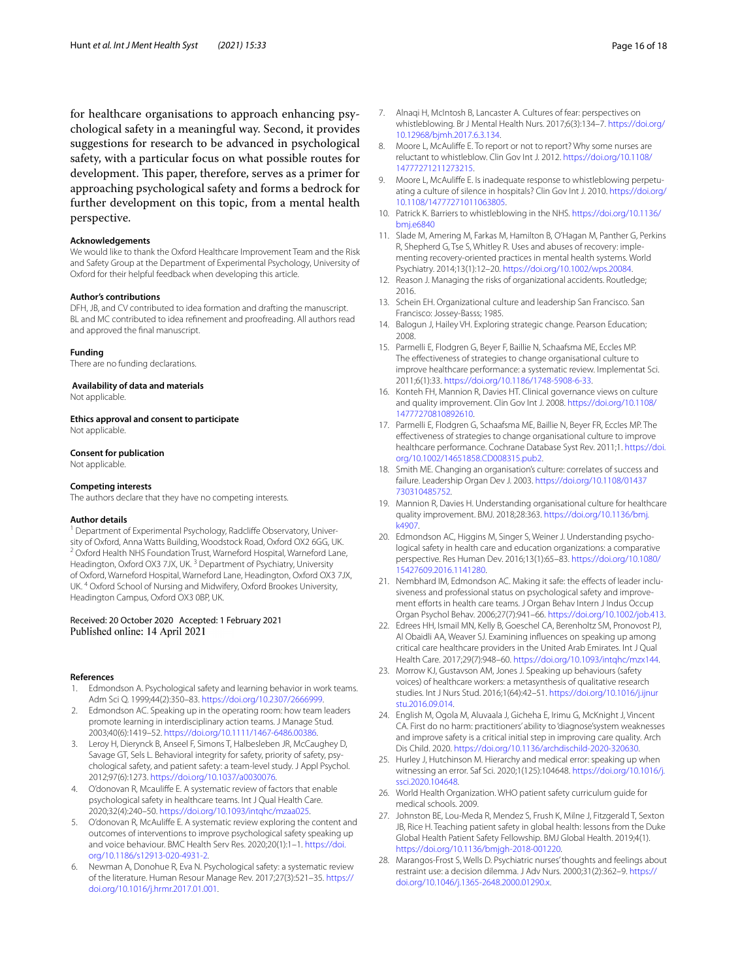for healthcare organisations to approach enhancing psychological safety in a meaningful way. Second, it provides suggestions for research to be advanced in psychological safety, with a particular focus on what possible routes for development. This paper, therefore, serves as a primer for approaching psychological safety and forms a bedrock for further development on this topic, from a mental health perspective.

### **Acknowledgements**

We would like to thank the Oxford Healthcare Improvement Team and the Risk and Safety Group at the Department of Experimental Psychology, University of Oxford for their helpful feedback when developing this article.

# **Author's contributions**

DFH, JB, and CV contributed to idea formation and drafting the manuscript. BL and MC contributed to idea refnement and proofreading. All authors read and approved the fnal manuscript.

#### **Funding**

There are no funding declarations.

### **Availability of data and materials**

Not applicable.

**Ethics approval and consent to participate**

Not applicable.

### **Consent for publication**

Not applicable.

#### **Competing interests**

The authors declare that they have no competing interests.

#### **Author details**

<sup>1</sup> Department of Experimental Psychology, Radcliffe Observatory, University of Oxford, Anna Watts Building, Woodstock Road, Oxford OX2 6GG, UK.<br><sup>2</sup> Oxford Health NHS Foundation Trust, Warneford Hospital, Warneford Lane, Headington, Oxford OX3 7JX, UK.<sup>3</sup> Department of Psychiatry, University of Oxford, Warneford Hospital, Warneford Lane, Headington, Oxford OX3 7JX, UK. 4 Oxford School of Nursing and Midwifery, Oxford Brookes University, Headington Campus, Oxford OX3 0BP, UK.

## Received: 20 October 2020 Accepted: 1 February 2021 Published online: 14 April 2021

#### **References**

- <span id="page-15-0"></span>1. Edmondson A. Psychological safety and learning behavior in work teams. Adm Sci Q. 1999;44(2):350–83. <https://doi.org/10.2307/2666999>.
- <span id="page-15-1"></span>2. Edmondson AC. Speaking up in the operating room: how team leaders promote learning in interdisciplinary action teams. J Manage Stud. 2003;40(6):1419–52. [https://doi.org/10.1111/1467-6486.00386.](https://doi.org/10.1111/1467-6486.00386)
- <span id="page-15-2"></span>3. Leroy H, Dierynck B, Anseel F, Simons T, Halbesleben JR, McCaughey D, Savage GT, Sels L. Behavioral integrity for safety, priority of safety, psychological safety, and patient safety: a team-level study. J Appl Psychol. 2012;97(6):1273.<https://doi.org/10.1037/a0030076>.
- <span id="page-15-24"></span>4. O'donovan R, Mcaulife E. A systematic review of factors that enable psychological safety in healthcare teams. Int J Qual Health Care. 2020;32(4):240–50. [https://doi.org/10.1093/intqhc/mzaa025.](https://doi.org/10.1093/intqhc/mzaa025)
- 5. O'donovan R, McAulife E. A systematic review exploring the content and outcomes of interventions to improve psychological safety speaking up and voice behaviour. BMC Health Serv Res. 2020;20(1):1–1. [https://doi.](https://doi.org/10.1186/s12913-020-4931-2) [org/10.1186/s12913-020-4931-2.](https://doi.org/10.1186/s12913-020-4931-2)
- <span id="page-15-3"></span>6. Newman A, Donohue R, Eva N. Psychological safety: a systematic review of the literature. Human Resour Manage Rev. 2017;27(3):521–35. [https://](https://doi.org/10.1016/j.hrmr.2017.01.001) [doi.org/10.1016/j.hrmr.2017.01.001](https://doi.org/10.1016/j.hrmr.2017.01.001).
- <span id="page-15-4"></span>7. Alnaqi H, McIntosh B, Lancaster A. Cultures of fear: perspectives on whistleblowing. Br J Mental Health Nurs. 2017;6(3):134–7. [https://doi.org/](https://doi.org/10.12968/bjmh.2017.6.3.134) [10.12968/bjmh.2017.6.3.134](https://doi.org/10.12968/bjmh.2017.6.3.134).
- 8. Moore L, McAuliffe E. To report or not to report? Why some nurses are reluctant to whistleblow. Clin Gov Int J. 2012. [https://doi.org/10.1108/](https://doi.org/10.1108/14777271211273215) [14777271211273215.](https://doi.org/10.1108/14777271211273215)
- 9. Moore L, McAuliffe E. Is inadequate response to whistleblowing perpetuating a culture of silence in hospitals? Clin Gov Int J. 2010. [https://doi.org/](https://doi.org/10.1108/14777271011063805) [10.1108/14777271011063805.](https://doi.org/10.1108/14777271011063805)
- <span id="page-15-5"></span>10. Patrick K. Barriers to whistleblowing in the NHS. [https://doi.org/10.1136/](https://doi.org/10.1136/bmj.e6840) [bmj.e6840](https://doi.org/10.1136/bmj.e6840)
- <span id="page-15-6"></span>11. Slade M, Amering M, Farkas M, Hamilton B, O'Hagan M, Panther G, Perkins R, Shepherd G, Tse S, Whitley R. Uses and abuses of recovery: implementing recovery-oriented practices in mental health systems. World Psychiatry. 2014;13(1):12–20. [https://doi.org/10.1002/wps.20084.](https://doi.org/10.1002/wps.20084)
- <span id="page-15-7"></span>12. Reason J. Managing the risks of organizational accidents. Routledge; 2016.
- <span id="page-15-8"></span>13. Schein EH. Organizational culture and leadership San Francisco. San Francisco: Jossey-Basss; 1985.
- <span id="page-15-9"></span>14. Balogun J, Hailey VH. Exploring strategic change. Pearson Education; 2008.
- <span id="page-15-10"></span>15. Parmelli E, Flodgren G, Beyer F, Baillie N, Schaafsma ME, Eccles MP. The efectiveness of strategies to change organisational culture to improve healthcare performance: a systematic review. Implementat Sci. 2011;6(1):33. <https://doi.org/10.1186/1748-5908-6-33>.
- <span id="page-15-11"></span>16. Konteh FH, Mannion R, Davies HT. Clinical governance views on culture and quality improvement. Clin Gov Int J. 2008. [https://doi.org/10.1108/](https://doi.org/10.1108/14777270810892610) [14777270810892610.](https://doi.org/10.1108/14777270810892610)
- <span id="page-15-12"></span>17. Parmelli E, Flodgren G, Schaafsma ME, Baillie N, Beyer FR, Eccles MP. The efectiveness of strategies to change organisational culture to improve healthcare performance. Cochrane Database Syst Rev. 2011;1. [https://doi.](https://doi.org/10.1002/14651858.CD008315.pub2) [org/10.1002/14651858.CD008315.pub2](https://doi.org/10.1002/14651858.CD008315.pub2).
- <span id="page-15-13"></span>18. Smith ME. Changing an organisation's culture: correlates of success and failure. Leadership Organ Dev J. 2003. [https://doi.org/10.1108/01437](https://doi.org/10.1108/01437730310485752) [730310485752.](https://doi.org/10.1108/01437730310485752)
- <span id="page-15-14"></span>19. Mannion R, Davies H. Understanding organisational culture for healthcare quality improvement. BMJ. 2018;28:363. [https://doi.org/10.1136/bmj.](https://doi.org/10.1136/bmj.k4907) [k4907.](https://doi.org/10.1136/bmj.k4907)
- <span id="page-15-15"></span>20. Edmondson AC, Higgins M, Singer S, Weiner J. Understanding psychological safety in health care and education organizations: a comparative perspective. Res Human Dev. 2016;13(1):65–83. [https://doi.org/10.1080/](https://doi.org/10.1080/15427609.2016.1141280) [15427609.2016.1141280.](https://doi.org/10.1080/15427609.2016.1141280)
- <span id="page-15-16"></span>21. Nembhard IM, Edmondson AC. Making it safe: the effects of leader inclusiveness and professional status on psychological safety and improvement efforts in health care teams. J Organ Behav Intern J Indus Occup Organ Psychol Behav. 2006;27(7):941–66.<https://doi.org/10.1002/job.413>.
- <span id="page-15-17"></span>22. Edrees HH, Ismail MN, Kelly B, Goeschel CA, Berenholtz SM, Pronovost PJ, Al Obaidli AA, Weaver SJ. Examining infuences on speaking up among critical care healthcare providers in the United Arab Emirates. Int J Qual Health Care. 2017;29(7):948–60. [https://doi.org/10.1093/intqhc/mzx144.](https://doi.org/10.1093/intqhc/mzx144)
- <span id="page-15-18"></span>23. Morrow KJ, Gustavson AM, Jones J. Speaking up behaviours (safety voices) of healthcare workers: a metasynthesis of qualitative research studies. Int J Nurs Stud. 2016;1(64):42–51. [https://doi.org/10.1016/j.ijnur](https://doi.org/10.1016/j.ijnurstu.2016.09.014) [stu.2016.09.014.](https://doi.org/10.1016/j.ijnurstu.2016.09.014)
- <span id="page-15-19"></span>24. English M, Ogola M, Aluvaala J, Gicheha E, Irimu G, McKnight J, Vincent CA. First do no harm: practitioners' ability to 'diagnose'system weaknesses and improve safety is a critical initial step in improving care quality. Arch Dis Child. 2020. <https://doi.org/10.1136/archdischild-2020-320630>.
- <span id="page-15-20"></span>25. Hurley J, Hutchinson M. Hierarchy and medical error: speaking up when witnessing an error. Saf Sci. 2020;1(125):104648. [https://doi.org/10.1016/j.](https://doi.org/10.1016/j.ssci.2020.104648) [ssci.2020.104648](https://doi.org/10.1016/j.ssci.2020.104648).
- <span id="page-15-21"></span>26. World Health Organization. WHO patient safety curriculum guide for medical schools. 2009.
- <span id="page-15-22"></span>27. Johnston BE, Lou-Meda R, Mendez S, Frush K, Milne J, Fitzgerald T, Sexton JB, Rice H. Teaching patient safety in global health: lessons from the Duke Global Health Patient Safety Fellowship. BMJ Global Health. 2019;4(1). [https://doi.org/10.1136/bmjgh-2018-001220.](https://doi.org/10.1136/bmjgh-2018-001220)
- <span id="page-15-23"></span>28. Marangos-Frost S, Wells D. Psychiatric nurses' thoughts and feelings about restraint use: a decision dilemma. J Adv Nurs. 2000;31(2):362–9. [https://](https://doi.org/10.1046/j.1365-2648.2000.01290.x) [doi.org/10.1046/j.1365-2648.2000.01290.x.](https://doi.org/10.1046/j.1365-2648.2000.01290.x)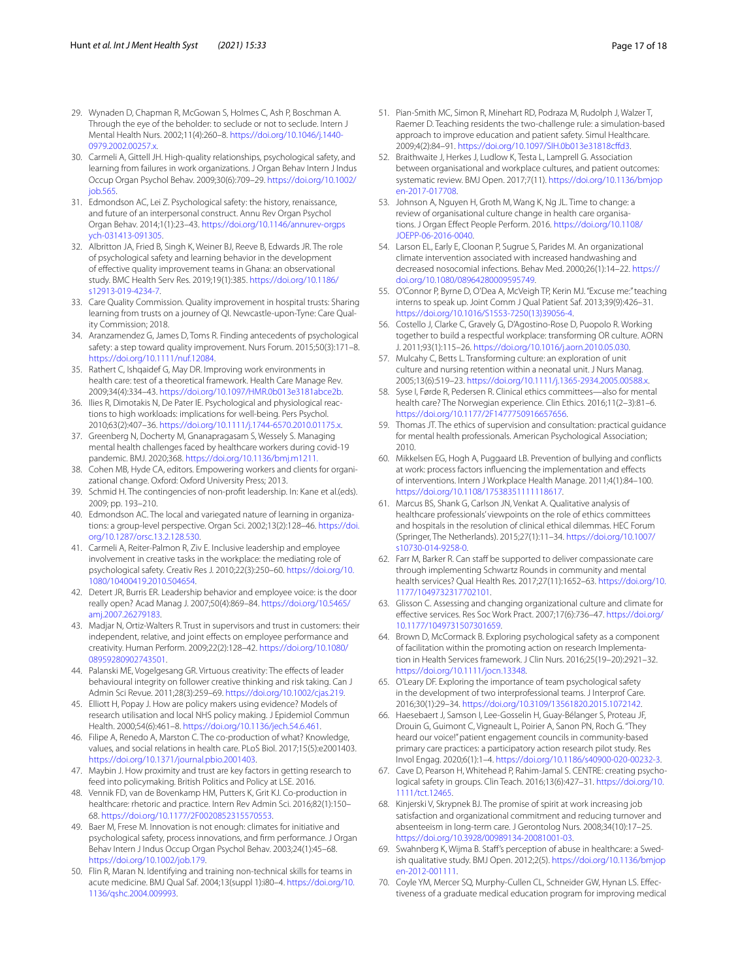- <span id="page-16-0"></span>29. Wynaden D, Chapman R, McGowan S, Holmes C, Ash P, Boschman A. Through the eye of the beholder: to seclude or not to seclude. Intern J Mental Health Nurs. 2002;11(4):260–8. [https://doi.org/10.1046/j.1440-](https://doi.org/10.1046/j.1440-0979.2002.00257.x) [0979.2002.00257.x](https://doi.org/10.1046/j.1440-0979.2002.00257.x).
- <span id="page-16-1"></span>30. Carmeli A, Gittell JH. High-quality relationships, psychological safety, and learning from failures in work organizations. J Organ Behav Intern J Indus Occup Organ Psychol Behav. 2009;30(6):709–29. [https://doi.org/10.1002/](https://doi.org/10.1002/job.565) [job.565.](https://doi.org/10.1002/job.565)
- <span id="page-16-2"></span>31. Edmondson AC, Lei Z. Psychological safety: the history, renaissance, and future of an interpersonal construct. Annu Rev Organ Psychol Organ Behav. 2014;1(1):23–43. [https://doi.org/10.1146/annurev-orgps](https://doi.org/10.1146/annurev-orgpsych-031413-091305) [ych-031413-091305.](https://doi.org/10.1146/annurev-orgpsych-031413-091305)
- <span id="page-16-3"></span>32. Albritton JA, Fried B, Singh K, Weiner BJ, Reeve B, Edwards JR. The role of psychological safety and learning behavior in the development of efective quality improvement teams in Ghana: an observational study. BMC Health Serv Res. 2019;19(1):385. [https://doi.org/10.1186/](https://doi.org/10.1186/s12913-019-4234-7) [s12913-019-4234-7.](https://doi.org/10.1186/s12913-019-4234-7)
- <span id="page-16-4"></span>33. Care Quality Commission. Quality improvement in hospital trusts: Sharing learning from trusts on a journey of QI. Newcastle-upon-Tyne: Care Quality Commission; 2018.
- <span id="page-16-5"></span>34. Aranzamendez G, James D, Toms R. Finding antecedents of psychological safety: a step toward quality improvement. Nurs Forum. 2015;50(3):171–8. [https://doi.org/10.1111/nuf.12084.](https://doi.org/10.1111/nuf.12084)
- <span id="page-16-6"></span>35. Rathert C, Ishqaidef G, May DR. Improving work environments in health care: test of a theoretical framework. Health Care Manage Rev. 2009;34(4):334–43. [https://doi.org/10.1097/HMR.0b013e3181abce2b.](https://doi.org/10.1097/HMR.0b013e3181abce2b)
- <span id="page-16-7"></span>36. Ilies R, Dimotakis N, De Pater IE. Psychological and physiological reactions to high workloads: implications for well-being. Pers Psychol. 2010;63(2):407–36. <https://doi.org/10.1111/j.1744-6570.2010.01175.x>.
- <span id="page-16-8"></span>37. Greenberg N, Docherty M, Gnanapragasam S, Wessely S. Managing mental health challenges faced by healthcare workers during covid-19 pandemic. BMJ. 2020;368. <https://doi.org/10.1136/bmj.m1211.>
- <span id="page-16-9"></span>38. Cohen MB, Hyde CA, editors. Empowering workers and clients for organizational change. Oxford: Oxford University Press; 2013.
- <span id="page-16-10"></span>39. Schmid H. The contingencies of non-proft leadership. In: Kane et al.(eds). 2009; pp. 193–210.
- <span id="page-16-11"></span>40. Edmondson AC. The local and variegated nature of learning in organizations: a group-level perspective. Organ Sci. 2002;13(2):128–46. [https://doi.](https://doi.org/10.1287/orsc.13.2.128.530) [org/10.1287/orsc.13.2.128.530.](https://doi.org/10.1287/orsc.13.2.128.530)
- <span id="page-16-12"></span>41. Carmeli A, Reiter-Palmon R, Ziv E. Inclusive leadership and employee involvement in creative tasks in the workplace: the mediating role of psychological safety. Creativ Res J. 2010;22(3):250–60. [https://doi.org/10.](https://doi.org/10.1080/10400419.2010.504654) [1080/10400419.2010.504654](https://doi.org/10.1080/10400419.2010.504654).
- <span id="page-16-18"></span>42. Detert JR, Burris ER. Leadership behavior and employee voice: is the door really open? Acad Manag J. 2007;50(4):869–84. [https://doi.org/10.5465/](https://doi.org/10.5465/amj.2007.26279183) [amj.2007.26279183](https://doi.org/10.5465/amj.2007.26279183).
- 43. Madjar N, Ortiz-Walters R. Trust in supervisors and trust in customers: their independent, relative, and joint efects on employee performance and creativity. Human Perform. 2009;22(2):128–42. [https://doi.org/10.1080/](https://doi.org/10.1080/08959280902743501) [08959280902743501.](https://doi.org/10.1080/08959280902743501)
- <span id="page-16-13"></span>44. Palanski ME, Vogelgesang GR. Virtuous creativity: The effects of leader behavioural integrity on follower creative thinking and risk taking. Can J Admin Sci Revue. 2011;28(3):259–69.<https://doi.org/10.1002/cjas.219>.
- <span id="page-16-14"></span>45. Elliott H, Popay J. How are policy makers using evidence? Models of research utilisation and local NHS policy making. J Epidemiol Commun Health. 2000;54(6):461–8. <https://doi.org/10.1136/jech.54.6.461>.
- <span id="page-16-15"></span>46. Filipe A, Renedo A, Marston C. The co-production of what? Knowledge, values, and social relations in health care. PLoS Biol. 2017;15(5):e2001403. <https://doi.org/10.1371/journal.pbio.2001403>.
- <span id="page-16-16"></span>47. Maybin J. How proximity and trust are key factors in getting research to feed into policymaking. British Politics and Policy at LSE. 2016.
- <span id="page-16-17"></span>48. Vennik FD, van de Bovenkamp HM, Putters K, Grit KJ. Co-production in healthcare: rhetoric and practice. Intern Rev Admin Sci. 2016;82(1):150– 68. <https://doi.org/10.1177/2F0020852315570553>.
- <span id="page-16-19"></span>49. Baer M, Frese M. Innovation is not enough: climates for initiative and psychological safety, process innovations, and frm performance. J Organ Behav Intern J Indus Occup Organ Psychol Behav. 2003;24(1):45–68. <https://doi.org/10.1002/job.179>.
- <span id="page-16-20"></span>50. Flin R, Maran N. Identifying and training non-technical skills for teams in acute medicine. BMJ Qual Saf. 2004;13(suppl 1):i80–4. [https://doi.org/10.](https://doi.org/10.1136/qshc.2004.009993) [1136/qshc.2004.009993](https://doi.org/10.1136/qshc.2004.009993).
- <span id="page-16-21"></span>51. Pian-Smith MC, Simon R, Minehart RD, Podraza M, Rudolph J, Walzer T, Raemer D. Teaching residents the two-challenge rule: a simulation-based approach to improve education and patient safety. Simul Healthcare. 2009;4(2):84–91. [https://doi.org/10.1097/SIH.0b013e31818cfd3](https://doi.org/10.1097/SIH.0b013e31818cffd3).
- <span id="page-16-22"></span>52. Braithwaite J, Herkes J, Ludlow K, Testa L, Lamprell G. Association between organisational and workplace cultures, and patient outcomes: systematic review. BMJ Open. 2017;7(11). [https://doi.org/10.1136/bmjop](https://doi.org/10.1136/bmjopen-2017-017708) [en-2017-017708](https://doi.org/10.1136/bmjopen-2017-017708).
- <span id="page-16-23"></span>53. Johnson A, Nguyen H, Groth M, Wang K, Ng JL. Time to change: a review of organisational culture change in health care organisations. J Organ Efect People Perform. 2016. [https://doi.org/10.1108/](https://doi.org/10.1108/JOEPP-06-2016-0040) [JOEPP-06-2016-0040.](https://doi.org/10.1108/JOEPP-06-2016-0040)
- <span id="page-16-24"></span>54. Larson EL, Early E, Cloonan P, Sugrue S, Parides M. An organizational climate intervention associated with increased handwashing and decreased nosocomial infections. Behav Med. 2000;26(1):14–22. [https://](https://doi.org/10.1080/08964280009595749) [doi.org/10.1080/08964280009595749.](https://doi.org/10.1080/08964280009595749)
- <span id="page-16-25"></span>55. O'Connor P, Byrne D, O'Dea A, McVeigh TP, Kerin MJ. "Excuse me:" teaching interns to speak up. Joint Comm J Qual Patient Saf. 2013;39(9):426–31. [https://doi.org/10.1016/S1553-7250\(13\)39056-4](https://doi.org/10.1016/S1553-7250(13)39056-4).
- <span id="page-16-26"></span>56. Costello J, Clarke C, Gravely G, D'Agostino-Rose D, Puopolo R. Working together to build a respectful workplace: transforming OR culture. AORN J. 2011;93(1):115–26. [https://doi.org/10.1016/j.aorn.2010.05.030.](https://doi.org/10.1016/j.aorn.2010.05.030)
- <span id="page-16-27"></span>57. Mulcahy C, Betts L. Transforming culture: an exploration of unit culture and nursing retention within a neonatal unit. J Nurs Manag. 2005;13(6):519–23. <https://doi.org/10.1111/j.1365-2934.2005.00588.x>.
- <span id="page-16-28"></span>58. Syse I, Førde R, Pedersen R. Clinical ethics committees—also for mental health care? The Norwegian experience. Clin Ethics. 2016;11(2–3):81–6. <https://doi.org/10.1177/2F1477750916657656>.
- <span id="page-16-29"></span>59. Thomas JT. The ethics of supervision and consultation: practical guidance for mental health professionals. American Psychological Association; 2010.
- <span id="page-16-30"></span>60. Mikkelsen EG, Hogh A, Puggaard LB. Prevention of bullying and conficts at work: process factors infuencing the implementation and efects of interventions. Intern J Workplace Health Manage. 2011;4(1):84–100. [https://doi.org/10.1108/17538351111118617.](https://doi.org/10.1108/17538351111118617)
- <span id="page-16-31"></span>61. Marcus BS, Shank G, Carlson JN, Venkat A. Qualitative analysis of healthcare professionals' viewpoints on the role of ethics committees and hospitals in the resolution of clinical ethical dilemmas. HEC Forum (Springer, The Netherlands). 2015;27(1):11–34. [https://doi.org/10.1007/](https://doi.org/10.1007/s10730-014-9258-0) [s10730-014-9258-0.](https://doi.org/10.1007/s10730-014-9258-0)
- <span id="page-16-32"></span>62. Farr M, Barker R. Can staff be supported to deliver compassionate care through implementing Schwartz Rounds in community and mental health services? Qual Health Res. 2017;27(11):1652–63. [https://doi.org/10.](https://doi.org/10.1177/1049732317702101) [1177/1049732317702101.](https://doi.org/10.1177/1049732317702101)
- <span id="page-16-33"></span>63. Glisson C. Assessing and changing organizational culture and climate for efective services. Res Soc Work Pract. 2007;17(6):736–47. [https://doi.org/](https://doi.org/10.1177/1049731507301659) [10.1177/1049731507301659](https://doi.org/10.1177/1049731507301659).
- <span id="page-16-34"></span>64. Brown D, McCormack B. Exploring psychological safety as a component of facilitation within the promoting action on research Implementation in Health Services framework. J Clin Nurs. 2016;25(19–20):2921–32. <https://doi.org/10.1111/jocn.13348>.
- <span id="page-16-35"></span>65. O'Leary DF. Exploring the importance of team psychological safety in the development of two interprofessional teams. J Interprof Care. 2016;30(1):29–34.<https://doi.org/10.3109/13561820.2015.1072142>.
- <span id="page-16-36"></span>66. Haesebaert J, Samson I, Lee-Gosselin H, Guay-Bélanger S, Proteau JF, Drouin G, Guimont C, Vigneault L, Poirier A, Sanon PN, Roch G. "They heard our voice!" patient engagement councils in community-based primary care practices: a participatory action research pilot study. Res Invol Engag. 2020;6(1):1–4.<https://doi.org/10.1186/s40900-020-00232-3>.
- <span id="page-16-37"></span>67. Cave D, Pearson H, Whitehead P, Rahim-Jamal S. CENTRE: creating psychological safety in groups. Clin Teach. 2016;13(6):427–31. [https://doi.org/10.](https://doi.org/10.1111/tct.12465) [1111/tct.12465.](https://doi.org/10.1111/tct.12465)
- <span id="page-16-38"></span>68. Kinjerski V, Skrypnek BJ. The promise of spirit at work increasing job satisfaction and organizational commitment and reducing turnover and absenteeism in long-term care. J Gerontolog Nurs. 2008;34(10):17–25. [https://doi.org/10.3928/00989134-20081001-03.](https://doi.org/10.3928/00989134-20081001-03)
- <span id="page-16-39"></span>69. Swahnberg K, Wijma B. Staf's perception of abuse in healthcare: a Swedish qualitative study. BMJ Open. 2012;2(5). [https://doi.org/10.1136/bmjop](https://doi.org/10.1136/bmjopen-2012-001111) [en-2012-001111](https://doi.org/10.1136/bmjopen-2012-001111).
- <span id="page-16-40"></span>70. Coyle YM, Mercer SQ, Murphy-Cullen CL, Schneider GW, Hynan LS. Efectiveness of a graduate medical education program for improving medical